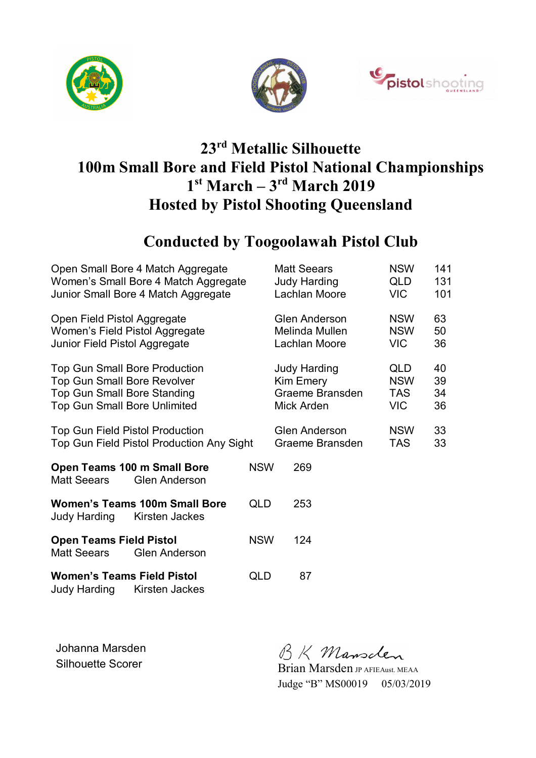





# **23rd Metallic Silhouette 100m Small Bore and Field Pistol National Championships 1 st March – 3rd March 2019 Hosted by Pistol Shooting Queensland**

### **Conducted by Toogoolawah Pistol Club**

| Open Small Bore 4 Match Aggregate                                             |            | <b>Matt Seears</b>   | <b>NSW</b> | 141 |
|-------------------------------------------------------------------------------|------------|----------------------|------------|-----|
| Women's Small Bore 4 Match Aggregate                                          |            | <b>Judy Harding</b>  | QLD        | 131 |
| Junior Small Bore 4 Match Aggregate                                           |            | Lachlan Moore        | VIC.       | 101 |
| Open Field Pistol Aggregate                                                   |            | <b>Glen Anderson</b> | <b>NSW</b> | 63  |
| Women's Field Pistol Aggregate                                                |            | Melinda Mullen       | <b>NSW</b> | 50  |
| Junior Field Pistol Aggregate                                                 |            | Lachlan Moore        | <b>VIC</b> | 36  |
| <b>Top Gun Small Bore Production</b>                                          |            | <b>Judy Harding</b>  | QLD        | 40  |
| <b>Top Gun Small Bore Revolver</b>                                            |            | Kim Emery            | <b>NSW</b> | 39  |
| <b>Top Gun Small Bore Standing</b>                                            |            | Graeme Bransden      | <b>TAS</b> | 34  |
| <b>Top Gun Small Bore Unlimited</b>                                           |            | Mick Arden           | VIC.       | 36  |
| <b>Top Gun Field Pistol Production</b>                                        |            | <b>Glen Anderson</b> | <b>NSW</b> | 33  |
| Top Gun Field Pistol Production Any Sight                                     |            | Graeme Bransden      | TAS        | 33  |
| Open Teams 100 m Small Bore<br><b>Matt Seears</b><br><b>Glen Anderson</b>     | <b>NSW</b> | 269                  |            |     |
| <b>Women's Teams 100m Small Bore</b><br><b>Judy Harding</b><br>Kirsten Jackes | <b>QLD</b> | 253                  |            |     |
| <b>Open Teams Field Pistol</b><br><b>Matt Seears</b><br><b>Glen Anderson</b>  | <b>NSW</b> | 124                  |            |     |
| <b>Women's Teams Field Pistol</b><br><b>Judy Harding</b><br>Kirsten Jackes    | QLD        | 87                   |            |     |

Johanna Marsden Johanna Marsden<br>Silhouette Scorer Brian Marsden JP AFIEAust. MEAA

Judge "B" MS00019 05/03/2019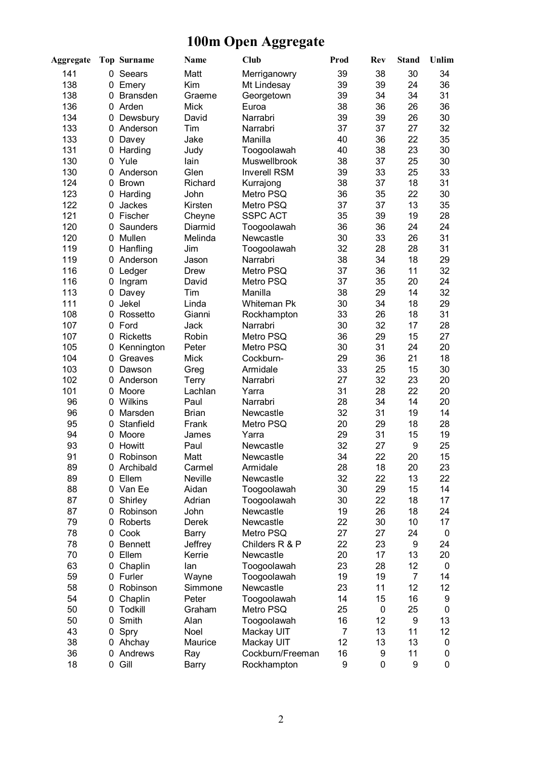# **100m Open Aggregate**

| <b>Aggregate</b> |              | <b>Top Surname</b>    | <b>Name</b>      | Club                   | Prod     | <b>Rev</b> | <b>Stand</b>   | Unlim    |
|------------------|--------------|-----------------------|------------------|------------------------|----------|------------|----------------|----------|
| 141              | 0            | Seears                | Matt             | Merriganowry           | 39       | 38         | 30             | 34       |
| 138              | 0            | Emery                 | Kim              | Mt Lindesay            | 39       | 39         | 24             | 36       |
| 138              | 0            | <b>Bransden</b>       | Graeme           | Georgetown             | 39       | 34         | 34             | 31       |
| 136              | $\mathbf{0}$ | Arden                 | <b>Mick</b>      | Euroa                  | 38       | 36         | 26             | 36       |
| 134              | 0            | Dewsbury              | David            | Narrabri               | 39       | 39         | 26             | 30       |
| 133              | $\Omega$     | Anderson              | Tim              | Narrabri               | 37       | 37         | 27             | 32       |
| 133              | 0            | Davey                 | Jake             | Manilla                | 40       | 36         | 22             | 35       |
| 131              | 0            | Harding               | Judy             | Toogoolawah            | 40       | 38         | 23             | 30       |
| 130              | 0            | Yule                  | lain             | Muswellbrook           | 38       | 37         | 25             | 30       |
| 130              | $\Omega$     | Anderson              | Glen             | <b>Inverell RSM</b>    | 39       | 33         | 25             | 33       |
| 124              | $\Omega$     | <b>Brown</b>          | Richard          | Kurrajong              | 38       | 37         | 18             | 31       |
| 123              | 0            | Harding               | John             | Metro PSQ              | 36       | 35         | 22             | 30       |
| 122              | 0            | Jackes                | Kirsten          | Metro PSQ              | 37       | 37         | 13             | 35       |
| 121              |              | 0 Fischer             | Cheyne           | <b>SSPC ACT</b>        | 35       | 39         | 19             | 28       |
| 120              | 0            | Saunders              | Diarmid          | Toogoolawah            | 36       | 36         | 24             | 24       |
| 120              | 0            | Mullen                | Melinda          | Newcastle              | 30       | 33         | 26             | 31       |
| 119              | 0            | Hanfling              | Jim              | Toogoolawah            | 32       | 28         | 28             | 31       |
| 119              | $\mathbf{0}$ | Anderson              | Jason            | Narrabri               | 38       | 34         | 18             | 29       |
| 116              | 0            | Ledger                | <b>Drew</b>      | Metro PSQ              | 37       | 36         | 11             | 32       |
| 116              | 0            | Ingram                | David            | Metro PSQ              | 37       | 35         | 20             | 24       |
| 113              | 0            | Davey                 | Tim              | Manilla                | 38       | 29         | 14             | 32       |
| 111              | 0            | Jekel                 | Linda            | <b>Whiteman Pk</b>     | 30       | 34         | 18             | 29       |
| 108              | $\Omega$     | Rossetto              | Gianni           | Rockhampton            | 33       | 26         | 18             | 31       |
| 107              |              | 0 Ford                | Jack             | Narrabri               | 30       | 32         | 17             | 28       |
| 107              | 0            | <b>Ricketts</b>       | Robin            | Metro PSQ              | 36       | 29         | 15             | 27       |
| 105              | 0            | Kennington            | Peter            | Metro PSQ              | 30       | 31         | 24             | 20       |
| 104              | 0            | Greaves               | <b>Mick</b>      | Cockburn-              | 29       | 36         | 21             | 18       |
| 103              | 0            | Dawson                | Greg             | Armidale               | 33       | 25         | 15             | 30       |
| 102              | 0            | Anderson              | Terry            | Narrabri               | 27       | 32         | 23             | 20       |
| 101              | 0            | Moore                 | Lachlan          | Yarra                  | 31       | 28         | 22             | 20       |
| 96               | 0            | Wilkins               | Paul             | Narrabri               | 28       | 34         | 14             | 20       |
| 96               | $\mathbf{0}$ | Marsden               | <b>Brian</b>     | Newcastle              | 32       | 31         | 19             | 14       |
| 95               | 0            | Stanfield             | Frank            | Metro PSQ              | 20       | 29         | 18             | 28       |
| 94               | 0            | Moore                 | James            | Yarra                  | 29       | 31         | 15             | 19       |
| 93               | 0            | Howitt                | Paul             | Newcastle              | 32       | 27         | 9              | 25       |
| 91               | 0            | Robinson              | Matt             | Newcastle              | 34       | 22         | 20             | 15       |
| 89               |              | 0 Archibald           | Carmel           | Armidale               | 28       | 18         | 20             | 23       |
| 89               |              | 0 Ellem               | Neville          | Newcastle              | 32       | 22         | 13             | 22       |
| 88               |              | 0 Van Ee              | Aidan            | Toogoolawah            | 30       | 29<br>22   | 15             | 14       |
| 87               | 0            | Shirley               | Adrian           | Toogoolawah            | 30       |            | 18             | 17       |
| 87<br>79         | 0            | Robinson<br>0 Roberts | John             | Newcastle<br>Newcastle | 19<br>22 | 26<br>30   | 18<br>10       | 24<br>17 |
| 78               |              | Cook                  | Derek            | Metro PSQ              | 27       | 27         | 24             | 0        |
| 78               | 0<br>0       | <b>Bennett</b>        | Barry<br>Jeffrey | Childers R & P         | 22       | 23         | 9              | 24       |
| 70               | 0            | Ellem                 | Kerrie           | Newcastle              | 20       | 17         | 13             | 20       |
| 63               | 0            | Chaplin               | lan              | Toogoolawah            | 23       | 28         | 12             | 0        |
| 59               |              | 0 Furler              | Wayne            | Toogoolawah            | 19       | 19         | $\overline{7}$ | 14       |
| 58               |              | 0 Robinson            | Simmone          | Newcastle              | 23       | 11         | 12             | 12       |
| 54               | 0            | Chaplin               | Peter            | Toogoolawah            | 14       | 15         | 16             | 9        |
| 50               | 0            | Todkill               | Graham           | Metro PSQ              | 25       | 0          | 25             | 0        |
| 50               | 0            | Smith                 | Alan             | Toogoolawah            | 16       | 12         | 9              | 13       |
| 43               | 0            | Spry                  | Noel             | Mackay UIT             | 7        | 13         | 11             | 12       |
| 38               |              | 0 Ahchay              | Maurice          | Mackay UIT             | 12       | 13         | 13             | 0        |
| 36               | 0            | Andrews               | Ray              | Cockburn/Freeman       | 16       | 9          | 11             | 0        |
| 18               |              | 0 Gill                | Barry            | Rockhampton            | 9        | 0          | 9              | 0        |
|                  |              |                       |                  |                        |          |            |                |          |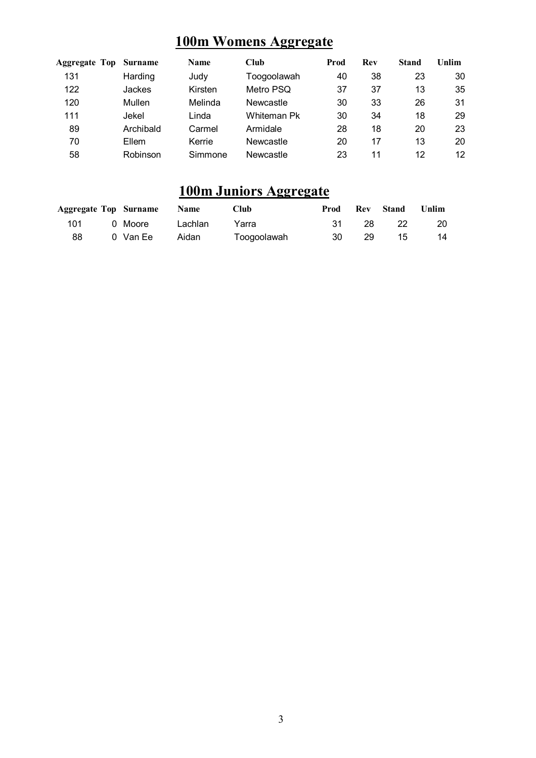### **100m Womens Aggregate**

| <b>Aggregate Top</b> | Surname   | <b>Name</b> | Club        | Prod | Rev | Stand | Unlim |
|----------------------|-----------|-------------|-------------|------|-----|-------|-------|
| 131                  | Harding   | Judy        | Toogoolawah | 40   | 38  | 23    | 30    |
| 122                  | Jackes    | Kirsten     | Metro PSQ   | 37   | 37  | 13    | 35    |
| 120                  | Mullen    | Melinda     | Newcastle   | 30   | 33  | 26    | 31    |
| 111                  | Jekel     | _inda       | Whiteman Pk | 30   | 34  | 18    | 29    |
| 89                   | Archibald | Carmel      | Armidale    | 28   | 18  | 20    | 23    |
| 70                   | Ellem     | Kerrie      | Newcastle   | 20   | 17  | 13    | 20    |
| 58                   | Robinson  | Simmone     | Newcastle   | 23   | 11  | 12    | 12    |

### **100m Juniors Aggregate**

|     | <b>Aggregate Top Surname Name</b> |       | <b>Club</b> |       |     | <b>Prod</b> Rev Stand | Unlim     |
|-----|-----------------------------------|-------|-------------|-------|-----|-----------------------|-----------|
| 101 | 0 Moore     Lachlan               |       | Yarra       | .31 - | -28 | - 22                  | <b>20</b> |
| 88  | 0 Van Ee                          | Aidan | Toogoolawah | 30    | -29 | -15                   | 14        |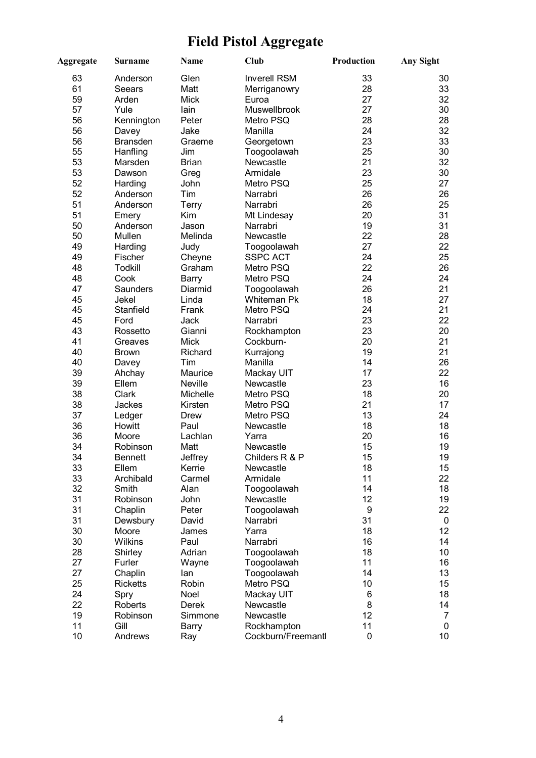# **Field Pistol Aggregate**

| Aggregate | <b>Surname</b>  | Name         | <b>Club</b>             | Production      | <b>Any Sight</b> |
|-----------|-----------------|--------------|-------------------------|-----------------|------------------|
| 63        | Anderson        | Glen         | <b>Inverell RSM</b>     | 33              | 30               |
| 61        | Seears          | Matt         | Merriganowry            | 28              | 33               |
| 59        | Arden           | <b>Mick</b>  | Euroa                   | 27              | 32               |
| 57        | Yule            | lain         | Muswellbrook            | 27              | 30               |
| 56        | Kennington      | Peter        | Metro PSQ               | 28              | 28               |
| 56        | Davey           | Jake         | Manilla                 | 24              | 32               |
| 56        | <b>Bransden</b> | Graeme       | Georgetown              | 23              | 33               |
| 55        | Hanfling        | Jim          | Toogoolawah             | 25              | 30               |
| 53        | Marsden         | <b>Brian</b> | Newcastle               | 21              | 32               |
| 53        | Dawson          | Greg         | Armidale                | 23              | 30               |
| 52        | Harding         | John         | Metro PSQ               | 25              | 27               |
| 52        | Anderson        | Tim          | Narrabri                | 26              | 26               |
| 51        | Anderson        | <b>Terry</b> | Narrabri                | 26              | 25               |
| 51        | Emery           | Kim          | Mt Lindesay             | 20              | 31               |
| 50        | Anderson        | Jason        | Narrabri                | 19              | 31               |
| 50        | Mullen          | Melinda      | Newcastle               | 22              | 28               |
| 49        |                 |              |                         | 27              | 22               |
|           | Harding         | Judy         | Toogoolawah             |                 |                  |
| 49        | Fischer         | Cheyne       | <b>SSPC ACT</b>         | 24              | 25               |
| 48        | <b>Todkill</b>  | Graham       | Metro PSQ               | 22              | 26               |
| 48        | Cook            | Barry        | Metro PSQ               | 24              | 24               |
| 47        | Saunders        | Diarmid      | Toogoolawah             | 26              | 21               |
| 45        | Jekel           | Linda        | Whiteman Pk             | 18              | 27               |
| 45        | Stanfield       | Frank        | Metro PSQ               | 24              | 21               |
| 45        | Ford            | Jack         | Narrabri                | 23              | 22               |
| 43        | Rossetto        | Gianni       | Rockhampton             | 23              | 20               |
| 41        | Greaves         | Mick         | Cockburn-               | 20              | 21               |
| 40        | <b>Brown</b>    | Richard      | Kurrajong               | 19              | 21               |
| 40        | Davey           | Tim          | Manilla                 | 14              | 26               |
| 39        | Ahchay          | Maurice      | Mackay UIT              | 17              | 22               |
| 39        | Ellem           | Neville      | Newcastle               | 23              | 16               |
| 38        | Clark           | Michelle     | Metro PSQ               | 18              | 20               |
| 38        | Jackes          | Kirsten      | Metro PSQ               | 21              | 17               |
| 37        | Ledger          | Drew         | Metro PSQ               | 13              | 24               |
| 36        | Howitt          | Paul         | Newcastle               | 18              | 18               |
| 36        | Moore           | Lachlan      | Yarra                   | 20              | 16               |
| 34        | Robinson        | Matt         | Newcastle               | 15              | 19               |
| 34        | <b>Bennett</b>  | Jeffrey      | Childers R & P          | 15              | 19               |
| 33        | Ellem           | Kerrie       | Newcastle               | 18              | 15               |
| 33        | Archibald       | Carmel       | Armidale                | 11              | 22               |
| 32        | Smith           | Alan         | Toogoolawah             | 14              | 18               |
| 31        | Robinson        | John         | Newcastle               | 12              | 19               |
| 31        | Chaplin         | Peter        | Toogoolawah             | 9               | 22               |
| 31        | Dewsbury        | David        | Narrabri                | 31              | $\mathbf 0$      |
| 30        | Moore           | James        | Yarra                   | 18              | 12 <sup>°</sup>  |
| 30        | Wilkins         | Paul         | Narrabri                | 16              | 14               |
| 28        | Shirley         | Adrian       | Toogoolawah             | 18              | 10 <sup>1</sup>  |
| 27        | Furler          | Wayne        | Toogoolawah             | 11              | 16               |
| 27        | Chaplin         | lan          | Toogoolawah             | 14              | 13               |
| 25        | <b>Ricketts</b> | Robin        | Metro PSQ               | 10              | 15               |
| 24        |                 | Noel         |                         |                 | 18               |
| 22        | Spry<br>Roberts | Derek        | Mackay UIT<br>Newcastle | 6<br>8          | 14               |
|           |                 |              |                         |                 |                  |
| 19        | Robinson        | Simmone      | Newcastle               | 12 <sub>2</sub> | 7                |
| 11        | Gill            | Barry        | Rockhampton             | 11              | 0                |
| 10        | Andrews         | Ray          | Cockburn/Freemantl      | 0               | 10 <sup>°</sup>  |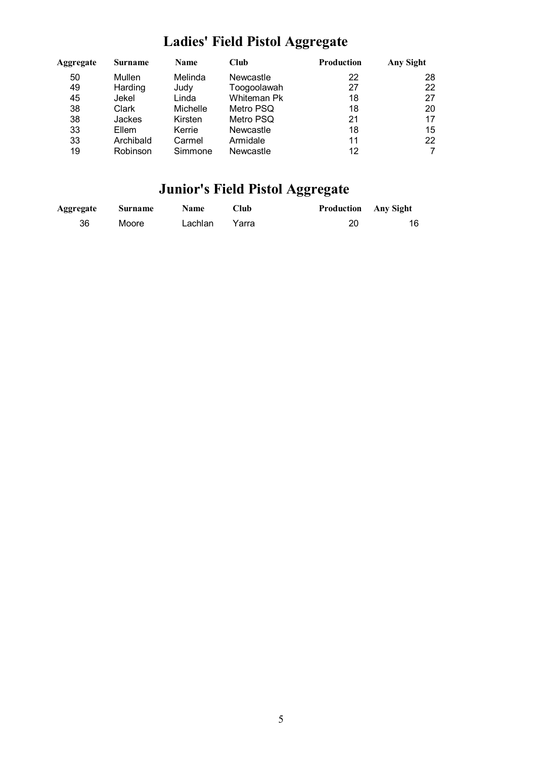# **Ladies' Field Pistol Aggregate**

| Aggregate | Surname   | <b>Name</b> | Club               | <b>Production</b> | Any Sight |
|-----------|-----------|-------------|--------------------|-------------------|-----------|
| 50        | Mullen    | Melinda     | Newcastle          | 22                | 28        |
| 49        | Harding   | Judy        | Toogoolawah        | 27                | 22        |
| 45        | Jekel     | Linda       | <b>Whiteman Pk</b> | 18                | 27        |
| 38        | Clark     | Michelle    | Metro PSQ          | 18                | 20        |
| 38        | Jackes    | Kirsten     | Metro PSQ          | 21                | 17        |
| 33        | Ellem     | Kerrie      | Newcastle          | 18                | 15        |
| 33        | Archibald | Carmel      | Armidale           | 11                | 22        |
| 19        | Robinson  | Simmone     | Newcastle          | 12                | 7         |

# **Junior's Field Pistol Aggregate**

| <b>Aggregate</b> | <b>Surname</b> | <b>Name</b> | Club  | <b>Production</b> Any Sight |    |
|------------------|----------------|-------------|-------|-----------------------------|----|
| 36               | Moore          | Lachlan     | Yarra | 20                          | 16 |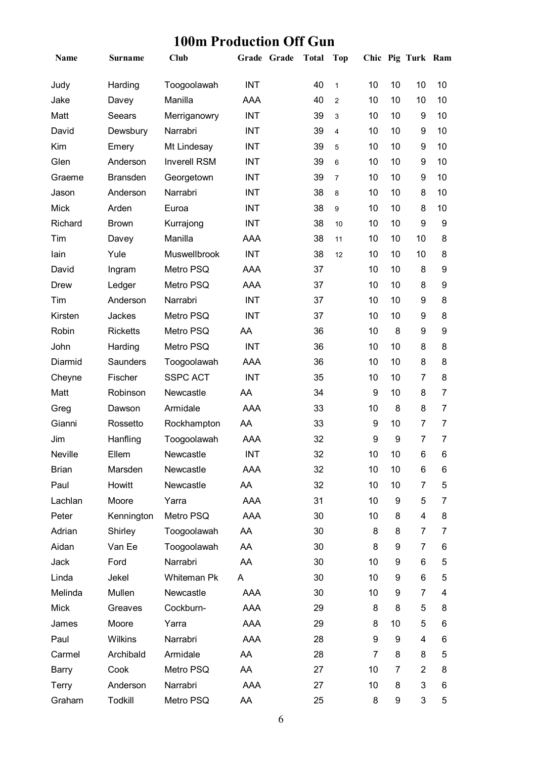# **100m Production Off Gun**

| Name           | <b>Surname</b>  | Club                |            | Grade Grade | <b>Total</b> | <b>Top</b>     |                  |    | Chic Pig Turk Ram |                |
|----------------|-----------------|---------------------|------------|-------------|--------------|----------------|------------------|----|-------------------|----------------|
| Judy           | Harding         | Toogoolawah         | <b>INT</b> |             | 40           | $\mathbf{1}$   | 10               | 10 | 10                | 10             |
| Jake           | Davey           | Manilla             | AAA        |             | 40           | $\overline{2}$ | 10               | 10 | 10                | 10             |
| Matt           | Seears          | Merriganowry        | <b>INT</b> |             | 39           | 3              | 10               | 10 | 9                 | 10             |
| David          | Dewsbury        | Narrabri            | <b>INT</b> |             | 39           | 4              | 10               | 10 | 9                 | 10             |
| Kim            | Emery           | Mt Lindesay         | <b>INT</b> |             | 39           | 5              | 10               | 10 | 9                 | 10             |
| Glen           | Anderson        | <b>Inverell RSM</b> | <b>INT</b> |             | 39           | 6              | 10               | 10 | 9                 | 10             |
| Graeme         | <b>Bransden</b> | Georgetown          | <b>INT</b> |             | 39           | $\overline{7}$ | 10               | 10 | 9                 | 10             |
| Jason          | Anderson        | Narrabri            | <b>INT</b> |             | 38           | 8              | 10               | 10 | 8                 | 10             |
| <b>Mick</b>    | Arden           | Euroa               | <b>INT</b> |             | 38           | 9              | 10               | 10 | 8                 | 10             |
| Richard        | <b>Brown</b>    | Kurrajong           | <b>INT</b> |             | 38           | 10             | 10               | 10 | 9                 | 9              |
| Tim            | Davey           | Manilla             | AAA        |             | 38           | 11             | 10               | 10 | 10                | 8              |
| lain           | Yule            | Muswellbrook        | <b>INT</b> |             | 38           | 12             | 10               | 10 | 10                | 8              |
| David          | Ingram          | Metro PSQ           | AAA        |             | 37           |                | 10               | 10 | 8                 | 9              |
| Drew           | Ledger          | Metro PSQ           | AAA        |             | 37           |                | 10               | 10 | 8                 | 9              |
| Tim            | Anderson        | Narrabri            | <b>INT</b> |             | 37           |                | 10               | 10 | 9                 | 8              |
| Kirsten        | Jackes          | Metro PSQ           | <b>INT</b> |             | 37           |                | 10               | 10 | 9                 | 8              |
| Robin          | <b>Ricketts</b> | Metro PSQ           | AA         |             | 36           |                | 10               | 8  | 9                 | 9              |
| John           | Harding         | Metro PSQ           | <b>INT</b> |             | 36           |                | 10               | 10 | 8                 | 8              |
| Diarmid        | Saunders        | Toogoolawah         | AAA        |             | 36           |                | 10               | 10 | 8                 | 8              |
| Cheyne         | Fischer         | <b>SSPC ACT</b>     | <b>INT</b> |             | 35           |                | 10               | 10 | $\overline{7}$    | 8              |
| Matt           | Robinson        | Newcastle           | AA         |             | 34           |                | $\boldsymbol{9}$ | 10 | 8                 | 7              |
| Greg           | Dawson          | Armidale            | <b>AAA</b> |             | 33           |                | 10               | 8  | 8                 | $\overline{7}$ |
| Gianni         | Rossetto        | Rockhampton         | AA         |             | 33           |                | 9                | 10 | $\overline{7}$    | $\overline{7}$ |
| Jim            | Hanfling        | Toogoolawah         | AAA        |             | 32           |                | 9                | 9  | $\overline{7}$    | 7              |
| <b>Neville</b> | Ellem           | Newcastle           | <b>INT</b> |             | 32           |                | 10               | 10 | 6                 | 6              |
| <b>Brian</b>   | Marsden         | Newcastle           | AAA        |             | 32           |                | 10               | 10 | 6                 | 6              |
| Paul           | Howitt          | Newcastle           | AA         |             | 32           |                | 10               | 10 | 7                 | 5              |
| Lachlan        | Moore           | Yarra               | AAA        |             | 31           |                | 10               | 9  | 5                 | 7              |
| Peter          | Kennington      | Metro PSQ           | AAA        |             | 30           |                | 10               | 8  | 4                 | 8              |
| Adrian         | Shirley         | Toogoolawah         | AA         |             | 30           |                | 8                | 8  | 7                 | 7              |
| Aidan          | Van Ee          | Toogoolawah         | AA         |             | 30           |                | 8                | 9  | 7                 | 6              |
| Jack           | Ford            | Narrabri            | AA         |             | 30           |                | 10               | 9  | 6                 | 5              |
| Linda          | Jekel           | Whiteman Pk         | A          |             | 30           |                | 10               | 9  | 6                 | 5              |
| Melinda        | Mullen          | Newcastle           | AAA        |             | 30           |                | 10               | 9  | 7                 | 4              |
| Mick           | Greaves         | Cockburn-           | AAA        |             | 29           |                | 8                | 8  | 5                 | 8              |
| James          | Moore           | Yarra               | AAA        |             | 29           |                | 8                | 10 | 5                 | 6              |
| Paul           | Wilkins         | Narrabri            | AAA        |             | 28           |                | 9                | 9  | 4                 | 6              |
| Carmel         | Archibald       | Armidale            | AA         |             | 28           |                | $\overline{7}$   | 8  | 8                 | 5              |
| Barry          | Cook            | Metro PSQ           | AA         |             | 27           |                | 10               | 7  | $\overline{2}$    | 8              |
| Terry          | Anderson        | Narrabri            | AAA        |             | 27           |                | 10               | 8  | 3                 | 6              |
| Graham         | Todkill         | Metro PSQ           | AA         |             | 25           |                | 8                | 9  | 3                 | 5              |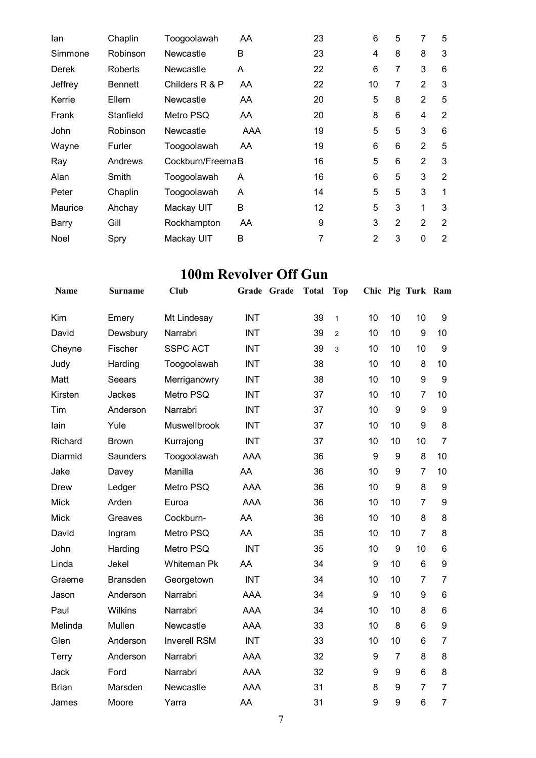| lan     | Chaplin        | Toogoolawah      | AA  | 23 | 6              | 5 | 7              | 5              |
|---------|----------------|------------------|-----|----|----------------|---|----------------|----------------|
| Simmone | Robinson       | Newcastle        | B   | 23 | 4              | 8 | 8              | 3              |
| Derek   | Roberts        | Newcastle        | A   | 22 | 6              | 7 | 3              | 6              |
| Jeffrey | <b>Bennett</b> | Childers R & P   | AA  | 22 | 10             | 7 | $\overline{2}$ | 3              |
| Kerrie  | Ellem          | Newcastle        | AA  | 20 | 5              | 8 | $\overline{2}$ | 5              |
| Frank   | Stanfield      | Metro PSQ        | AA. | 20 | 8              | 6 | $\overline{4}$ | 2              |
| John    | Robinson       | Newcastle        | AAA | 19 | 5              | 5 | 3              | 6              |
| Wayne   | Furler         | Toogoolawah      | AA  | 19 | 6              | 6 | $\overline{2}$ | 5              |
| Ray     | Andrews        | Cockburn/FreemaB |     | 16 | 5              | 6 | $\overline{2}$ | 3              |
| Alan    | Smith          | Toogoolawah      | A   | 16 | 6              | 5 | 3              | $\overline{2}$ |
| Peter   | Chaplin        | Toogoolawah      | A   | 14 | 5              | 5 | 3              | $\mathbf{1}$   |
| Maurice | Ahchay         | Mackay UIT       | B   | 12 | 5              | 3 | 1              | 3              |
| Barry   | Gill           | Rockhampton      | AA  | 9  | 3              | 2 | 2              | $\overline{2}$ |
| Noel    | Spry           | Mackay UIT       | B   | 7  | $\overline{2}$ | 3 | $\mathbf 0$    | 2              |

### **100m Revolver Off Gun**

| Name         | <b>Surname</b>  | Club                | Grade Grade | <b>Total</b> | Top            |    |                  | Chic Pig Turk Ram |                  |
|--------------|-----------------|---------------------|-------------|--------------|----------------|----|------------------|-------------------|------------------|
| Kim          | Emery           | Mt Lindesay         | <b>INT</b>  | 39           | $\mathbf{1}$   | 10 | 10               | 10                | 9                |
| David        | Dewsbury        | Narrabri            | <b>INT</b>  | 39           | $\overline{2}$ | 10 | 10               | 9                 | 10               |
| Cheyne       | Fischer         | <b>SSPC ACT</b>     | <b>INT</b>  | 39           | 3              | 10 | 10               | 10                | 9                |
| Judy         | Harding         | Toogoolawah         | <b>INT</b>  | 38           |                | 10 | 10               | 8                 | 10               |
| Matt         | Seears          | Merriganowry        | <b>INT</b>  | 38           |                | 10 | 10               | 9                 | 9                |
| Kirsten      | Jackes          | Metro PSQ           | <b>INT</b>  | 37           |                | 10 | 10               | $\overline{7}$    | 10               |
| Tim          | Anderson        | Narrabri            | <b>INT</b>  | 37           |                | 10 | 9                | 9                 | 9                |
| lain         | Yule            | Muswellbrook        | <b>INT</b>  | 37           |                | 10 | 10               | 9                 | 8                |
| Richard      | <b>Brown</b>    | Kurrajong           | <b>INT</b>  | 37           |                | 10 | 10               | 10                | $\overline{7}$   |
| Diarmid      | <b>Saunders</b> | Toogoolawah         | <b>AAA</b>  | 36           |                | 9  | $\boldsymbol{9}$ | 8                 | 10               |
| Jake         | Davey           | Manilla             | AA          | 36           |                | 10 | 9                | $\overline{7}$    | 10               |
| <b>Drew</b>  | Ledger          | Metro PSQ           | <b>AAA</b>  | 36           |                | 10 | 9                | 8                 | 9                |
| <b>Mick</b>  | Arden           | Euroa               | <b>AAA</b>  | 36           |                | 10 | 10               | $\overline{7}$    | 9                |
| <b>Mick</b>  | Greaves         | Cockburn-           | AA          | 36           |                | 10 | 10               | 8                 | 8                |
| David        | Ingram          | Metro PSQ           | AA          | 35           |                | 10 | 10               | $\overline{7}$    | 8                |
| John         | Harding         | Metro PSQ           | <b>INT</b>  | 35           |                | 10 | 9                | 10                | $6\phantom{1}$   |
| Linda        | Jekel           | <b>Whiteman Pk</b>  | AA          | 34           |                | 9  | 10               | $6\phantom{1}$    | 9                |
| Graeme       | <b>Bransden</b> | Georgetown          | <b>INT</b>  | 34           |                | 10 | 10               | $\overline{7}$    | $\overline{7}$   |
| Jason        | Anderson        | Narrabri            | <b>AAA</b>  | 34           |                | 9  | 10               | 9                 | 6                |
| Paul         | Wilkins         | Narrabri            | <b>AAA</b>  | 34           |                | 10 | 10               | 8                 | 6                |
| Melinda      | Mullen          | Newcastle           | <b>AAA</b>  | 33           |                | 10 | 8                | $6\phantom{1}$    | $\boldsymbol{9}$ |
| Glen         | Anderson        | <b>Inverell RSM</b> | <b>INT</b>  | 33           |                | 10 | 10               | 6                 | $\overline{7}$   |
| <b>Terry</b> | Anderson        | Narrabri            | <b>AAA</b>  | 32           |                | 9  | $\overline{7}$   | 8                 | 8                |
| <b>Jack</b>  | Ford            | Narrabri            | <b>AAA</b>  | 32           |                | 9  | 9                | $6\phantom{1}$    | 8                |
| <b>Brian</b> | Marsden         | Newcastle           | <b>AAA</b>  | 31           |                | 8  | 9                | $\overline{7}$    | $\overline{7}$   |
| James        | Moore           | Yarra               | AA          | 31           |                | 9  | 9                | 6                 | $\overline{7}$   |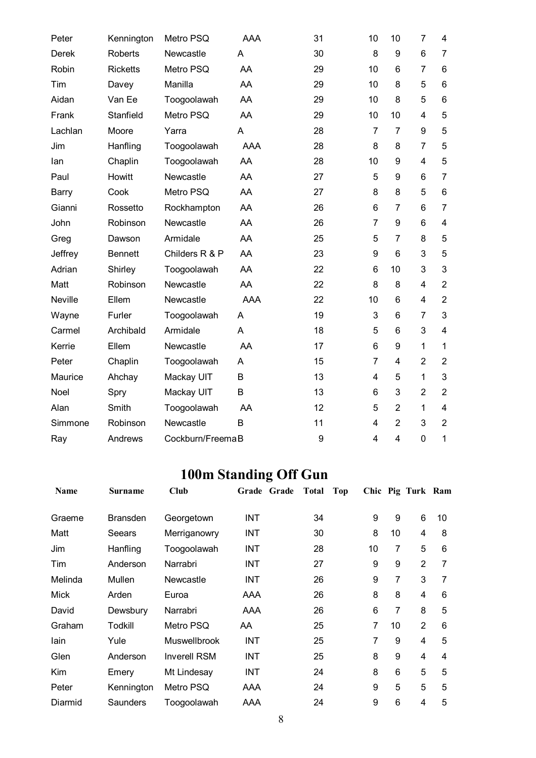| Peter        | Kennington      | Metro PSQ        | AAA        | 31 | 10                      | 10             | $\overline{7}$ | 4                       |
|--------------|-----------------|------------------|------------|----|-------------------------|----------------|----------------|-------------------------|
| <b>Derek</b> | <b>Roberts</b>  | Newcastle        | A          | 30 | 8                       | 9              | 6              | $\overline{7}$          |
| Robin        | <b>Ricketts</b> | Metro PSQ        | AA         | 29 | 10                      | 6              | $\overline{7}$ | 6                       |
| Tim          | Davey           | Manilla          | AA         | 29 | 10                      | 8              | 5              | 6                       |
| Aidan        | Van Ee          | Toogoolawah      | AA         | 29 | 10                      | 8              | 5              | 6                       |
| Frank        | Stanfield       | Metro PSQ        | AA         | 29 | 10                      | 10             | 4              | 5                       |
| Lachlan      | Moore           | Yarra            | A          | 28 | $\overline{7}$          | $\overline{7}$ | 9              | 5                       |
| Jim          | Hanfling        | Toogoolawah      | <b>AAA</b> | 28 | 8                       | 8              | $\overline{7}$ | 5                       |
| lan          | Chaplin         | Toogoolawah      | AA         | 28 | 10                      | 9              | $\overline{4}$ | 5                       |
| Paul         | Howitt          | Newcastle        | AA         | 27 | 5                       | 9              | 6              | $\overline{7}$          |
| Barry        | Cook            | Metro PSQ        | AA         | 27 | 8                       | 8              | 5              | 6                       |
| Gianni       | Rossetto        | Rockhampton      | AA         | 26 | 6                       | $\overline{7}$ | 6              | $\overline{7}$          |
| John         | Robinson        | Newcastle        | AA         | 26 | $\overline{7}$          | 9              | 6              | $\overline{\mathbf{4}}$ |
| Greg         | Dawson          | Armidale         | AA         | 25 | 5                       | $\overline{7}$ | 8              | 5                       |
| Jeffrey      | <b>Bennett</b>  | Childers R & P   | AA         | 23 | 9                       | $6\phantom{1}$ | 3              | 5                       |
| Adrian       | Shirley         | Toogoolawah      | AA         | 22 | 6                       | 10             | 3              | 3                       |
| Matt         | Robinson        | Newcastle        | AA         | 22 | 8                       | 8              | 4              | $\overline{2}$          |
| Neville      | Ellem           | Newcastle        | <b>AAA</b> | 22 | 10                      | 6              | 4              | $\overline{2}$          |
| Wayne        | Furler          | Toogoolawah      | A          | 19 | 3                       | 6              | $\overline{7}$ | 3                       |
| Carmel       | Archibald       | Armidale         | A          | 18 | 5                       | 6              | 3              | 4                       |
| Kerrie       | Ellem           | Newcastle        | AA         | 17 | 6                       | 9              | $\mathbf{1}$   | $\mathbf{1}$            |
| Peter        | Chaplin         | Toogoolawah      | A          | 15 | 7                       | $\overline{4}$ | $\overline{2}$ | $\overline{2}$          |
| Maurice      | Ahchay          | Mackay UIT       | B          | 13 | 4                       | 5              | $\mathbf{1}$   | 3                       |
| Noel         | Spry            | Mackay UIT       | B          | 13 | 6                       | 3              | $\overline{2}$ | $\overline{2}$          |
| Alan         | Smith           | Toogoolawah      | AA         | 12 | 5                       | $\overline{2}$ | 1              | 4                       |
| Simmone      | Robinson        | Newcastle        | B          | 11 | 4                       | $\overline{2}$ | 3              | $\overline{2}$          |
| Ray          | Andrews         | Cockburn/FreemaB |            | 9  | $\overline{\mathbf{4}}$ | $\overline{4}$ | $\mathbf 0$    | 1                       |

# **100m Standing Off Gun**

| <b>Name</b> | Surname         | <b>Club</b>         | Grade Grade | Total | Top |    |    | Chic Pig Turk Ram |    |
|-------------|-----------------|---------------------|-------------|-------|-----|----|----|-------------------|----|
| Graeme      | <b>Bransden</b> | Georgetown          | <b>INT</b>  | 34    |     | 9  | 9  | 6                 | 10 |
| Matt        | Seears          | Merriganowry        | <b>INT</b>  | 30    |     | 8  | 10 | 4                 | 8  |
| Jim         | Hanfling        | Toogoolawah         | <b>INT</b>  | 28    |     | 10 | 7  | 5                 | 6  |
| Tim         | Anderson        | Narrabri            | <b>INT</b>  | 27    |     | 9  | 9  | $\overline{2}$    | 7  |
| Melinda     | Mullen          | Newcastle           | <b>INT</b>  | 26    |     | 9  | 7  | 3                 | 7  |
| Mick        | Arden           | Euroa               | AAA         | 26    |     | 8  | 8  | 4                 | 6  |
| David       | Dewsbury        | Narrabri            | AAA         | 26    |     | 6  | 7  | 8                 | 5  |
| Graham      | Todkill         | Metro PSQ           | AA          | 25    |     | 7  | 10 | $\overline{2}$    | 6  |
| lain        | Yule            | <b>Muswellbrook</b> | <b>INT</b>  | 25    |     | 7  | 9  | 4                 | 5  |
| Glen        | Anderson        | <b>Inverell RSM</b> | <b>INT</b>  | 25    |     | 8  | 9  | 4                 | 4  |
| Kim         | Emery           | Mt Lindesay         | <b>INT</b>  | 24    |     | 8  | 6  | 5                 | 5  |
| Peter       | Kennington      | Metro PSQ           | AAA         | 24    |     | 9  | 5  | 5                 | 5  |
| Diarmid     | Saunders        | Toogoolawah         | AAA         | 24    |     | 9  | 6  | 4                 | 5  |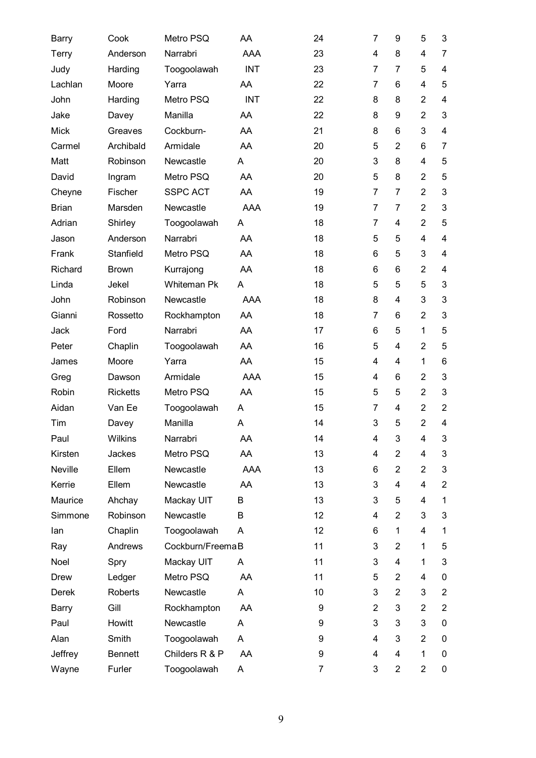| Barry        | Cook            | Metro PSQ          | AA         | 24              | 7              | 9              | 5              | 3              |
|--------------|-----------------|--------------------|------------|-----------------|----------------|----------------|----------------|----------------|
| <b>Terry</b> | Anderson        | Narrabri           | AAA        | 23              | 4              | 8              | 4              | $\overline{7}$ |
| Judy         | Harding         | Toogoolawah        | <b>INT</b> | 23              | 7              | 7              | 5              | 4              |
| Lachlan      | Moore           | Yarra              | AA         | 22              | 7              | 6              | $\overline{4}$ | 5              |
| John         | Harding         | Metro PSQ          | <b>INT</b> | 22              | 8              | 8              | $\overline{2}$ | 4              |
| Jake         | Davey           | Manilla            | AA         | 22              | 8              | 9              | $\overline{2}$ | 3              |
| <b>Mick</b>  | Greaves         | Cockburn-          | AA         | 21              | 8              | 6              | 3              | 4              |
| Carmel       | Archibald       | Armidale           | AA         | 20              | 5              | $\overline{2}$ | 6              | 7              |
| Matt         | Robinson        | Newcastle          | A          | 20              | 3              | 8              | 4              | 5              |
| David        | Ingram          | Metro PSQ          | AA         | 20              | 5              | 8              | $\overline{2}$ | 5              |
| Cheyne       | Fischer         | <b>SSPC ACT</b>    | AA         | 19              | 7              | 7              | $\overline{2}$ | 3              |
| <b>Brian</b> | Marsden         | Newcastle          | <b>AAA</b> | 19              | 7              | 7              | $\overline{2}$ | 3              |
| Adrian       | Shirley         | Toogoolawah        | A          | 18              | $\overline{7}$ | 4              | $\overline{2}$ | 5              |
| Jason        | Anderson        | Narrabri           | AA         | 18              | 5              | 5              | 4              | 4              |
| Frank        | Stanfield       | Metro PSQ          | AA         | 18              | 6              | 5              | 3              | 4              |
| Richard      | <b>Brown</b>    | Kurrajong          | AA         | 18              | 6              | 6              | $\overline{2}$ | 4              |
| Linda        | Jekel           | <b>Whiteman Pk</b> | A          | 18              | 5              | 5              | 5              | $\mathfrak{S}$ |
| John         | Robinson        | Newcastle          | <b>AAA</b> | 18              | 8              | 4              | 3              | 3              |
| Gianni       | Rossetto        | Rockhampton        | AA         | 18              | 7              | 6              | $\overline{2}$ | 3              |
| Jack         | Ford            | Narrabri           | AA         | 17              | 6              | 5              | $\mathbf{1}$   | 5              |
| Peter        | Chaplin         | Toogoolawah        | AA         | 16              | 5              | 4              | $\overline{2}$ | 5              |
| James        | Moore           | Yarra              | AA         | 15              | 4              | 4              | 1              | 6              |
| Greg         | Dawson          | Armidale           | <b>AAA</b> | 15              | $\overline{4}$ | 6              | $\overline{2}$ | $\mathfrak{S}$ |
| Robin        | <b>Ricketts</b> | Metro PSQ          | AA         | 15              | 5              | 5              | $\overline{2}$ | 3              |
| Aidan        | Van Ee          | Toogoolawah        | A          | 15              | 7              | 4              | $\overline{2}$ | $\overline{2}$ |
| Tim          | Davey           | Manilla            | Α          | 14              | 3              | 5              | $\overline{2}$ | 4              |
| Paul         | Wilkins         | Narrabri           | AA         | 14              | 4              | 3              | 4              | 3              |
| Kirsten      | Jackes          | Metro PSQ          | AA         | 13              | 4              | $\overline{2}$ | $\overline{4}$ | 3              |
| Neville      | Ellem           | Newcastle          | <b>AAA</b> | 13              | 6              | $\overline{2}$ | $\overline{2}$ | 3              |
| Kerrie       | Ellem           | Newcastle          | AA         | 13              | 3              | 4              | 4              | $\overline{2}$ |
| Maurice      | Ahchay          | Mackay UIT         | В          | 13              | 3              | 5              | 4              | 1              |
| Simmone      | Robinson        | Newcastle          | B          | 12              | 4              | $\overline{2}$ | 3              | 3              |
| lan          | Chaplin         | Toogoolawah        | A          | 12 <sub>2</sub> | 6              | $\mathbf{1}$   | 4              | 1              |
| Ray          | Andrews         | Cockburn/FreemaB   |            | 11              | 3              | $\overline{2}$ | 1              | 5              |
| Noel         | Spry            | Mackay UIT         | A          | 11              | 3              | $\overline{4}$ | 1              | 3              |
| <b>Drew</b>  | Ledger          | Metro PSQ          | AA         | 11              | 5              | $\overline{2}$ | 4              | 0              |
| Derek        | Roberts         | Newcastle          | A          | 10              | 3              | 2              | 3              | $\overline{2}$ |
| Barry        | Gill            | Rockhampton        | AA         | 9               | $\overline{2}$ | 3              | $\overline{2}$ | $\overline{2}$ |
| Paul         | Howitt          | Newcastle          | A          | 9               | 3              | 3              | 3              | $\pmb{0}$      |
| Alan         | Smith           | Toogoolawah        | A          | 9               | 4              | 3              | $\overline{2}$ | 0              |
| Jeffrey      | <b>Bennett</b>  | Childers R & P     | AA         | 9               | 4              | 4              | 1              | 0              |
| Wayne        | Furler          | Toogoolawah        | A          | $\overline{7}$  | 3              | $\overline{2}$ | $\overline{2}$ | 0              |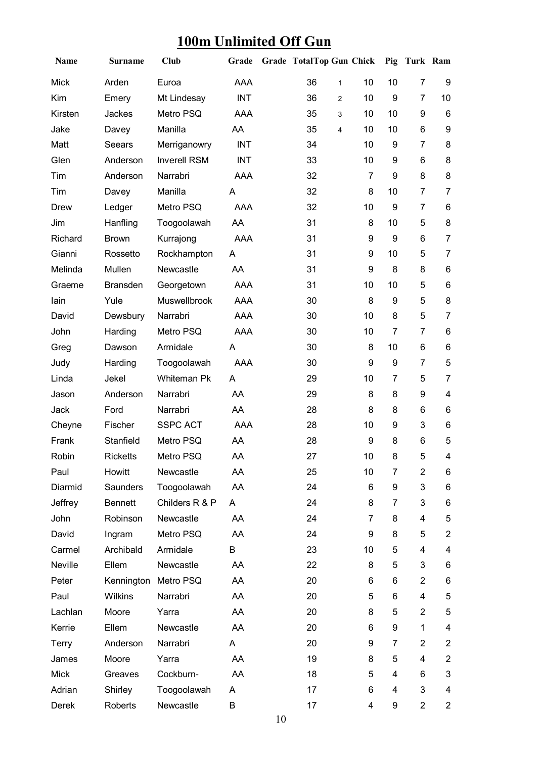# **100m Unlimited Off Gun**

| Name         | <b>Surname</b>  | Club                | Grade      | Grade TotalTop Gun Chick |                |                 | Pig              | Turk Ram       |                         |
|--------------|-----------------|---------------------|------------|--------------------------|----------------|-----------------|------------------|----------------|-------------------------|
| <b>Mick</b>  | Arden           | Euroa               | AAA        | 36                       | $\mathbf{1}$   | 10              | 10               | $\overline{7}$ | 9                       |
| Kim          | Emery           | Mt Lindesay         | <b>INT</b> | 36                       | $\overline{2}$ | 10              | $\boldsymbol{9}$ | 7              | 10                      |
| Kirsten      | Jackes          | Metro PSQ           | <b>AAA</b> | 35                       | 3              | 10              | 10               | 9              | 6                       |
| Jake         | Davey           | Manilla             | AA         | 35                       | $\overline{4}$ | 10              | 10               | 6              | 9                       |
| Matt         | Seears          | Merriganowry        | <b>INT</b> | 34                       |                | 10              | 9                | $\overline{7}$ | 8                       |
| Glen         | Anderson        | <b>Inverell RSM</b> | <b>INT</b> | 33                       |                | 10              | 9                | 6              | 8                       |
| Tim          | Anderson        | Narrabri            | AAA        | 32                       |                | 7               | 9                | 8              | 8                       |
| Tim          | Davey           | Manilla             | A          | 32                       |                | 8               | 10               | 7              | $\overline{7}$          |
| <b>Drew</b>  | Ledger          | Metro PSQ           | <b>AAA</b> | 32                       |                | 10              | 9                | $\overline{7}$ | 6                       |
| Jim          | Hanfling        | Toogoolawah         | AA         | 31                       |                | 8               | 10               | 5              | 8                       |
| Richard      | <b>Brown</b>    | Kurrajong           | <b>AAA</b> | 31                       |                | 9               | 9                | 6              | $\overline{7}$          |
| Gianni       | Rossetto        | Rockhampton         | A          | 31                       |                | 9               | 10               | 5              | $\overline{7}$          |
| Melinda      | Mullen          | Newcastle           | AA         | 31                       |                | 9               | 8                | 8              | 6                       |
| Graeme       | <b>Bransden</b> | Georgetown          | AAA        | 31                       |                | 10              | 10               | 5              | 6                       |
| lain         | Yule            | Muswellbrook        | AAA        | 30                       |                | 8               | 9                | 5              | 8                       |
| David        | Dewsbury        | Narrabri            | AAA        | 30                       |                | 10              | 8                | 5              | $\overline{7}$          |
| John         | Harding         | Metro PSQ           | AAA        | 30                       |                | 10              | $\overline{7}$   | 7              | 6                       |
| Greg         | Dawson          | Armidale            | Α          | 30                       |                | 8               | 10               | 6              | 6                       |
| Judy         | Harding         | Toogoolawah         | AAA        | 30                       |                | 9               | 9                | $\overline{7}$ | 5                       |
| Linda        | Jekel           | Whiteman Pk         | A          | 29                       |                | 10              | $\overline{7}$   | 5              | $\overline{7}$          |
| Jason        | Anderson        | Narrabri            | AA         | 29                       |                | 8               | 8                | 9              | $\overline{\mathbf{4}}$ |
| Jack         | Ford            | Narrabri            | AA         | 28                       |                | 8               | 8                | 6              | 6                       |
| Cheyne       | Fischer         | <b>SSPC ACT</b>     | AAA        | 28                       |                | 10              | 9                | 3              | 6                       |
| Frank        | Stanfield       | Metro PSQ           | AA         | 28                       |                | 9               | 8                | 6              | 5                       |
| Robin        | Ricketts        | Metro PSQ           | AA         | 27                       |                | 10 <sup>°</sup> | 8                | 5.             | 4                       |
| Paul         | Howitt          | Newcastle           | AA         | 25                       |                | 10              | 7                | $\overline{c}$ | 6                       |
| Diarmid      | Saunders        | Toogoolawah         | AA         | 24                       |                | 6               | 9                | 3              | 6                       |
| Jeffrey      | <b>Bennett</b>  | Childers R & P      | A          | 24                       |                | 8               | 7                | 3              | 6                       |
| John         | Robinson        | Newcastle           | AA         | 24                       |                | $\overline{7}$  | 8                | 4              | 5                       |
| David        | Ingram          | Metro PSQ           | AA         | 24                       |                | 9               | 8                | 5              | $\overline{2}$          |
| Carmel       | Archibald       | Armidale            | B          | 23                       |                | 10              | 5                | 4              | 4                       |
| Neville      | Ellem           | Newcastle           | AA         | 22                       |                | 8               | 5                | 3              | 6                       |
| Peter        | Kennington      | Metro PSQ           | AA         | 20                       |                | 6               | 6                | $\overline{2}$ | 6                       |
| Paul         | Wilkins         | Narrabri            | AA         | 20                       |                | 5               | 6                | 4              | 5                       |
| Lachlan      | Moore           | Yarra               | AA         | 20                       |                | 8               | 5                | $\overline{c}$ | 5                       |
| Kerrie       | Ellem           | Newcastle           | AA         | 20                       |                | 6               | 9                | 1              | 4                       |
| <b>Terry</b> | Anderson        | Narrabri            | A          | 20                       |                | 9               | $\overline{7}$   | $\overline{2}$ | $\overline{2}$          |
| James        | Moore           | Yarra               | AA         | 19                       |                | 8               | 5                | 4              | $\overline{2}$          |
| Mick         | Greaves         | Cockburn-           | AA         | 18                       |                | 5               | 4                | 6              | 3                       |
| Adrian       | Shirley         | Toogoolawah         | A          | 17                       |                | 6               | 4                | 3              | $\overline{\mathbf{4}}$ |
| Derek        | Roberts         | Newcastle           | В          | 17                       |                | 4               | 9                | $\overline{c}$ | $\overline{2}$          |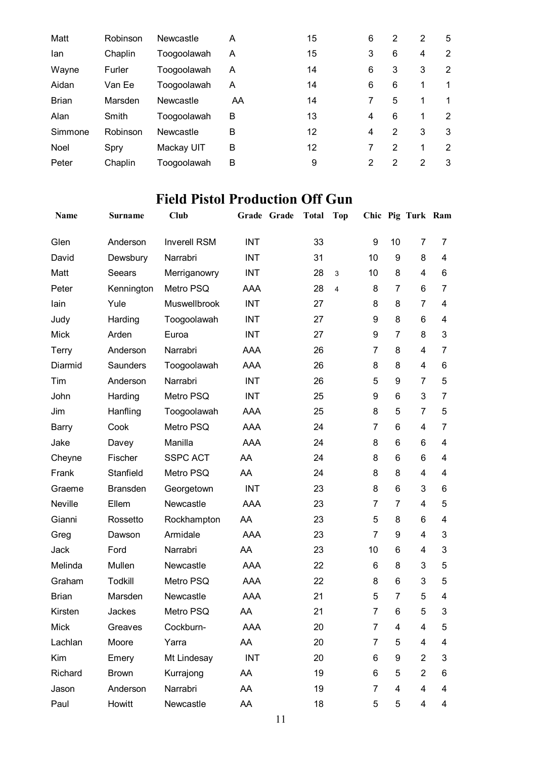| Matt         | Robinson | Newcastle   | A  | 15 | 6 | 2 | 2             | 5 |
|--------------|----------|-------------|----|----|---|---|---------------|---|
| lan          | Chaplin  | Toogoolawah | A  | 15 | 3 | 6 | 4             | 2 |
| Wayne        | Furler   | Toogoolawah | A  | 14 | 6 | 3 | 3             | 2 |
| Aidan        | Van Ee   | Toogoolawah | A  | 14 | 6 | 6 | 1             | 1 |
| <b>Brian</b> | Marsden  | Newcastle   | AA | 14 | 7 | 5 | 1             | 1 |
| Alan         | Smith    | Toogoolawah | B  | 13 | 4 | 6 | 1             | 2 |
| Simmone      | Robinson | Newcastle   | B  | 12 | 4 | 2 | 3             | 3 |
| Noel         | Spry     | Mackay UIT  | B  | 12 | 7 | 2 | 1             | 2 |
| Peter        | Chaplin  | Toogoolawah | B  | 9  | 2 | 2 | $\mathcal{P}$ | 3 |

## **Field Pistol Production Off Gun**

| Name         | <b>Surname</b>  | <b>Club</b>         |            | Grade Grade | <b>Total</b> | Top            |                |                | Chic Pig Turk Ram |                |
|--------------|-----------------|---------------------|------------|-------------|--------------|----------------|----------------|----------------|-------------------|----------------|
| Glen         | Anderson        | <b>Inverell RSM</b> | <b>INT</b> |             | 33           |                | 9              | 10             | 7                 | 7              |
| David        | Dewsbury        | Narrabri            | INT        |             | 31           |                | 10             | 9              | 8                 | 4              |
| Matt         | Seears          | Merriganowry        | <b>INT</b> |             | 28           | 3              | 10             | 8              | 4                 | 6              |
| Peter        | Kennington      | Metro PSQ           | AAA        |             | 28           | $\overline{4}$ | 8              | $\overline{7}$ | 6                 | 7              |
| lain         | Yule            | <b>Muswellbrook</b> | <b>INT</b> |             | 27           |                | 8              | 8              | $\overline{7}$    | 4              |
| Judy         | Harding         | Toogoolawah         | <b>INT</b> |             | 27           |                | 9              | 8              | 6                 | 4              |
| <b>Mick</b>  | Arden           | Euroa               | <b>INT</b> |             | 27           |                | 9              | $\overline{7}$ | 8                 | 3              |
| Terry        | Anderson        | Narrabri            | <b>AAA</b> |             | 26           |                | 7              | 8              | $\overline{4}$    | 7              |
| Diarmid      | <b>Saunders</b> | Toogoolawah         | AAA        |             | 26           |                | 8              | 8              | 4                 | 6              |
| Tim          | Anderson        | Narrabri            | <b>INT</b> |             | 26           |                | 5              | 9              | $\overline{7}$    | 5              |
| John         | Harding         | Metro PSQ           | <b>INT</b> |             | 25           |                | 9              | 6              | 3                 | $\overline{7}$ |
| Jim          | Hanfling        | Toogoolawah         | <b>AAA</b> |             | 25           |                | 8              | 5              | 7                 | 5              |
| Barry        | Cook            | Metro PSQ           | AAA        |             | 24           |                | $\overline{7}$ | 6              | 4                 | 7              |
| Jake         | Davey           | Manilla             | <b>AAA</b> |             | 24           |                | 8              | 6              | 6                 | 4              |
| Cheyne       | Fischer         | <b>SSPC ACT</b>     | AA         |             | 24           |                | 8              | 6              | 6                 | 4              |
| Frank        | Stanfield       | Metro PSQ           | AA         |             | 24           |                | 8              | 8              | 4                 | 4              |
| Graeme       | <b>Bransden</b> | Georgetown          | <b>INT</b> |             | 23           |                | 8              | 6              | 3                 | 6              |
| Neville      | Ellem           | Newcastle           | <b>AAA</b> |             | 23           |                | 7              | 7              | 4                 | 5              |
| Gianni       | Rossetto        | Rockhampton         | AA         |             | 23           |                | 5              | 8              | 6                 | 4              |
| Greg         | Dawson          | Armidale            | <b>AAA</b> |             | 23           |                | $\overline{7}$ | 9              | 4                 | 3              |
| Jack         | Ford            | Narrabri            | AA         |             | 23           |                | 10             | 6              | 4                 | 3              |
| Melinda      | Mullen          | Newcastle           | AAA        |             | 22           |                | 6              | 8              | 3                 | 5              |
| Graham       | Todkill         | Metro PSQ           | AAA        |             | 22           |                | 8              | 6              | 3                 | 5              |
| <b>Brian</b> | Marsden         | Newcastle           | AAA        |             | 21           |                | 5              | $\overline{7}$ | 5                 | 4              |
| Kirsten      | Jackes          | Metro PSQ           | AA.        |             | 21           |                | 7              | 6.             | 5                 | 3              |
| Mick         | Greaves         | Cockburn-           | AAA        |             | 20           |                | 7              | 4              | 4                 | 5              |
| Lachlan      | Moore           | Yarra               | AA         |             | 20           |                | 7              | 5              | 4                 | 4              |
| Kim          | Emery           | Mt Lindesay         | <b>INT</b> |             | 20           |                | 6              | 9              | $\overline{2}$    | 3              |
| Richard      | <b>Brown</b>    | Kurrajong           | AA         |             | 19           |                | 6              | 5              | $\overline{2}$    | 6              |
| Jason        | Anderson        | Narrabri            | AA         |             | 19           |                | $\overline{7}$ | 4              | 4                 | 4              |
| Paul         | Howitt          | Newcastle           | AA         |             | 18           |                | 5              | 5              | 4                 | 4              |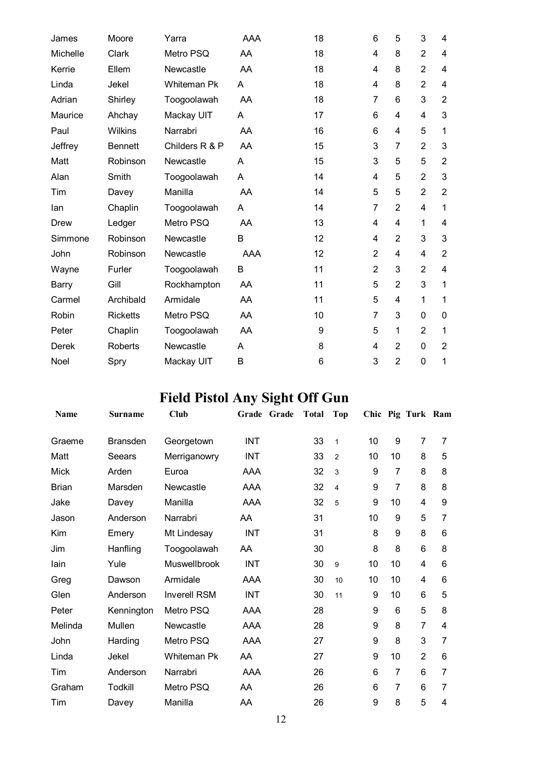| James    | Moore           | Yarra              | AAA | 18 | 6              | 5                       | 3              | 4              |
|----------|-----------------|--------------------|-----|----|----------------|-------------------------|----------------|----------------|
| Michelle | Clark           | Metro PSQ          | AA  | 18 | 4              | 8                       | $\overline{2}$ | $\overline{4}$ |
| Kerrie   | Ellem           | Newcastle          | AA  | 18 | 4              | 8                       | $\overline{2}$ | 4              |
| Linda    | Jekel           | <b>Whiteman Pk</b> | A   | 18 | 4              | 8                       | $\overline{2}$ | 4              |
| Adrian   | Shirley         | Toogoolawah        | AA  | 18 | $\overline{7}$ | 6                       | 3              | $\overline{2}$ |
| Maurice  | Ahchay          | Mackay UIT         | Α   | 17 | 6              | $\overline{\mathbf{4}}$ | 4              | 3              |
| Paul     | Wilkins         | Narrabri           | AA  | 16 | 6              | $\overline{\mathbf{4}}$ | 5              | $\mathbf{1}$   |
| Jeffrey  | <b>Bennett</b>  | Childers R & P     | AA  | 15 | 3              | 7                       | $\overline{2}$ | 3              |
| Matt     | Robinson        | Newcastle          | A   | 15 | 3              | 5                       | 5              | $\overline{2}$ |
| Alan     | Smith           | Toogoolawah        | A   | 14 | 4              | 5                       | $\overline{2}$ | 3              |
| Tim      | Davey           | Manilla            | AA  | 14 | 5              | 5                       | $\overline{2}$ | $\overline{2}$ |
| lan      | Chaplin         | Toogoolawah        | Α   | 14 | 7              | $\overline{2}$          | 4              | 1              |
| Drew     | Ledger          | Metro PSQ          | AA  | 13 | 4              | $\overline{4}$          | $\mathbf{1}$   | $\overline{4}$ |
| Simmone  | Robinson        | Newcastle          | B   | 12 | 4              | $\overline{2}$          | 3              | 3              |
| John     | Robinson        | Newcastle          | AAA | 12 | 2              | 4                       | 4              | $\overline{2}$ |
| Wayne    | Furler          | Toogoolawah        | B   | 11 | $\overline{2}$ | 3                       | $\overline{2}$ | 4              |
| Barry    | Gill            | Rockhampton        | AA  | 11 | 5              | $\overline{2}$          | 3              | 1              |
| Carmel   | Archibald       | Armidale           | AA  | 11 | 5              | 4                       | 1              | 1              |
| Robin    | <b>Ricketts</b> | Metro PSQ          | AA  | 10 | $\overline{7}$ | 3                       | $\overline{0}$ | $\mathbf 0$    |
| Peter    | Chaplin         | Toogoolawah        | AA  | 9  | 5              | 1                       | $\overline{2}$ | 1              |
| Derek    | Roberts         | Newcastle          | Α   | 8  | 4              | $\overline{2}$          | $\mathbf 0$    | $\overline{c}$ |
| Noel     | Spry            | Mackay UIT         | B   | 6  | 3              | $\overline{2}$          | $\mathbf 0$    | 1              |

# **Field Pistol Any Sight Off Gun**

| <b>Name</b>  | <b>Surname</b>  | Club                | Grade Grade | <b>Total</b> | <b>Top</b>     |    |                | Chic Pig Turk Ram |   |
|--------------|-----------------|---------------------|-------------|--------------|----------------|----|----------------|-------------------|---|
| Graeme       | <b>Bransden</b> | Georgetown          | <b>INT</b>  | 33           | $\mathbf{1}$   | 10 | 9              | 7                 | 7 |
| Matt         | Seears          | Merriganowry        | <b>INT</b>  | 33           | $\overline{2}$ | 10 | 10             | 8                 | 5 |
| <b>Mick</b>  | Arden           | Euroa               | AAA         | 32           | 3              | 9  | 7              | 8                 | 8 |
| <b>Brian</b> | Marsden         | Newcastle           | AAA         | 32           | 4              | 9  | 7              | 8                 | 8 |
| Jake         | Davey           | Manilla             | AAA         | 32           | 5              | 9  | 10             | 4                 | 9 |
| Jason        | Anderson        | Narrabri            | AA          | 31           |                | 10 | 9              | 5                 | 7 |
| Kim          | Emery           | Mt Lindesay         | <b>INT</b>  | 31           |                | 8  | 9              | 8                 | 6 |
| Jim          | Hanfling        | Toogoolawah         | AA          | 30           |                | 8  | 8              | 6                 | 8 |
| lain         | Yule            | <b>Muswellbrook</b> | <b>INT</b>  | 30           | 9              | 10 | 10             | 4                 | 6 |
| Greg         | Dawson          | Armidale            | <b>AAA</b>  | 30           | 10             | 10 | 10             | 4                 | 6 |
| Glen         | Anderson        | <b>Inverell RSM</b> | <b>INT</b>  | 30           | 11             | 9  | 10             | 6                 | 5 |
| Peter        | Kennington      | Metro PSQ           | AAA         | 28           |                | 9  | 6              | 5                 | 8 |
| Melinda      | Mullen          | Newcastle           | AAA         | 28           |                | 9  | 8              | $\overline{7}$    | 4 |
| John         | Harding         | Metro PSQ           | AAA         | 27           |                | 9  | 8              | 3                 | 7 |
| Linda        | Jekel           | Whiteman Pk         | AA          | 27           |                | 9  | 10             | $\overline{2}$    | 6 |
| Tim          | Anderson        | Narrabri            | AAA         | 26           |                | 6  | 7              | 6                 | 7 |
| Graham       | Todkill         | Metro PSQ           | AA          | 26           |                | 6  | $\overline{7}$ | 6                 | 7 |
| Tim          | Davey           | Manilla             | AA          | 26           |                | 9  | 8              | 5                 | 4 |
|              |                 |                     |             |              |                |    |                |                   |   |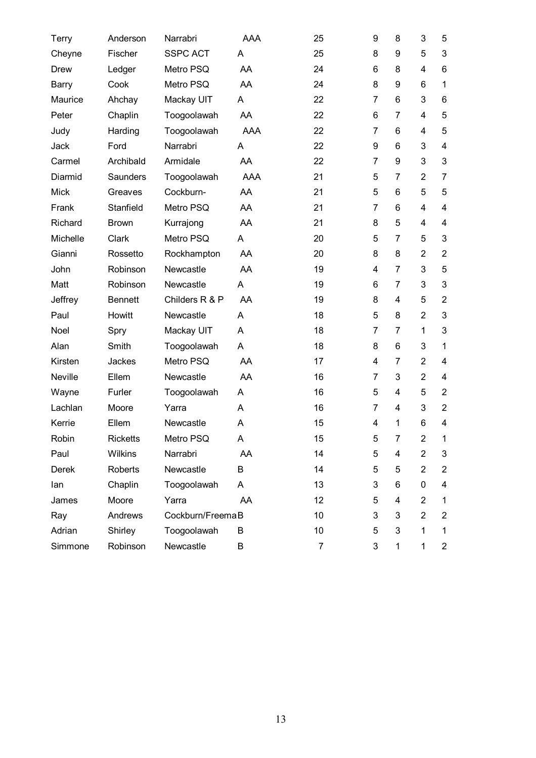| Terry       | Anderson        | Narrabri         | AAA        | 25             | 9              | 8                       | 3              | 5              |
|-------------|-----------------|------------------|------------|----------------|----------------|-------------------------|----------------|----------------|
| Cheyne      | Fischer         | <b>SSPC ACT</b>  | A          | 25             | 8              | 9                       | 5              | 3              |
| Drew        | Ledger          | Metro PSQ        | AA         | 24             | 6              | 8                       | 4              | 6              |
| Barry       | Cook            | Metro PSQ        | AA         | 24             | 8              | 9                       | 6              | $\mathbf{1}$   |
| Maurice     | Ahchay          | Mackay UIT       | A          | 22             | 7              | 6                       | 3              | 6              |
| Peter       | Chaplin         | Toogoolawah      | AA         | 22             | 6              | 7                       | 4              | 5              |
| Judy        | Harding         | Toogoolawah      | <b>AAA</b> | 22             | $\overline{7}$ | 6                       | 4              | 5              |
| Jack        | Ford            | Narrabri         | A          | 22             | 9              | 6                       | 3              | 4              |
| Carmel      | Archibald       | Armidale         | AA         | 22             | 7              | 9                       | 3              | 3              |
| Diarmid     | Saunders        | Toogoolawah      | <b>AAA</b> | 21             | 5              | 7                       | $\overline{2}$ | $\overline{7}$ |
| <b>Mick</b> | Greaves         | Cockburn-        | AA         | 21             | 5              | 6                       | 5              | 5              |
| Frank       | Stanfield       | Metro PSQ        | AA         | 21             | 7              | 6                       | $\overline{4}$ | 4              |
| Richard     | <b>Brown</b>    | Kurrajong        | AA         | 21             | 8              | 5                       | 4              | 4              |
| Michelle    | Clark           | Metro PSQ        | Α          | 20             | 5              | 7                       | 5              | 3              |
| Gianni      | Rossetto        | Rockhampton      | AA         | 20             | 8              | 8                       | $\overline{2}$ | $\overline{2}$ |
| John        | Robinson        | Newcastle        | AA         | 19             | 4              | $\overline{7}$          | 3              | 5              |
| Matt        | Robinson        | Newcastle        | Α          | 19             | 6              | 7                       | 3              | 3              |
| Jeffrey     | <b>Bennett</b>  | Childers R & P   | AA         | 19             | 8              | $\overline{4}$          | 5              | $\overline{2}$ |
| Paul        | Howitt          | Newcastle        | A          | 18             | 5              | 8                       | $\overline{2}$ | 3              |
| Noel        | Spry            | Mackay UIT       | A          | 18             | $\overline{7}$ | 7                       | 1              | 3              |
| Alan        | Smith           | Toogoolawah      | A          | 18             | 8              | 6                       | 3              | $\mathbf{1}$   |
| Kirsten     | Jackes          | Metro PSQ        | AA         | 17             | 4              | 7                       | $\overline{2}$ | 4              |
| Neville     | Ellem           | Newcastle        | AA         | 16             | 7              | 3                       | $\overline{2}$ | 4              |
| Wayne       | Furler          | Toogoolawah      | A          | 16             | 5              | $\overline{4}$          | 5              | $\overline{2}$ |
| Lachlan     | Moore           | Yarra            | A          | 16             | 7              | 4                       | 3              | $\overline{2}$ |
| Kerrie      | Ellem           | Newcastle        | A          | 15             | 4              | 1                       | 6              | 4              |
| Robin       | <b>Ricketts</b> | Metro PSQ        | A          | 15             | 5              | 7                       | $\overline{2}$ | 1              |
| Paul        | Wilkins         | Narrabri         | AA         | 14             | 5              | 4                       | $\overline{2}$ | 3              |
| Derek       | Roberts         | Newcastle        | B          | 14             | 5              | 5                       | $\overline{2}$ | $\overline{2}$ |
| lan         | Chaplin         | Toogoolawah      | A          | 13             | 3              | 6                       | 0              | 4              |
| James       | Moore           | Yarra            | AA         | 12             | 5              | $\overline{\mathbf{4}}$ | $\overline{2}$ | 1              |
| Ray         | Andrews         | Cockburn/FreemaB |            | 10             | 3              | 3                       | $\overline{2}$ | $\overline{2}$ |
| Adrian      | Shirley         | Toogoolawah      | B          | 10             | 5              | 3                       | 1              | $\mathbf 1$    |
| Simmone     | Robinson        | Newcastle        | В          | $\overline{7}$ | 3              | $\mathbf{1}$            | $\mathbf 1$    | $\overline{a}$ |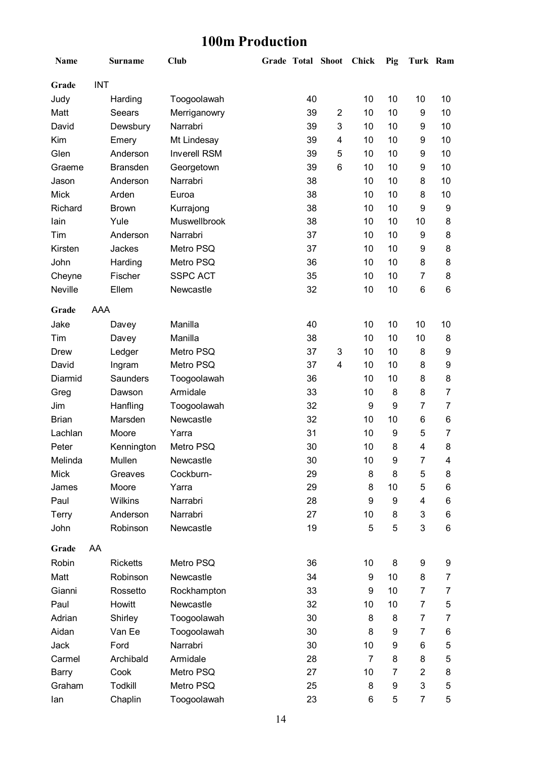### **100m Production**

| Name         |            | <b>Surname</b>  | Club                | <b>Grade Total Shoot</b> |                         | Chick          | Pig | Turk Ram         |    |
|--------------|------------|-----------------|---------------------|--------------------------|-------------------------|----------------|-----|------------------|----|
| Grade        | <b>INT</b> |                 |                     |                          |                         |                |     |                  |    |
| Judy         |            | Harding         | Toogoolawah         | 40                       |                         | 10             | 10  | 10               | 10 |
| Matt         |            | Seears          | Merriganowry        | 39                       | $\overline{2}$          | 10             | 10  | 9                | 10 |
| David        |            | Dewsbury        | Narrabri            | 39                       | 3                       | 10             | 10  | 9                | 10 |
| Kim          |            | Emery           | Mt Lindesay         | 39                       | $\overline{\mathbf{4}}$ | 10             | 10  | 9                | 10 |
| Glen         |            | Anderson        | <b>Inverell RSM</b> | 39                       | 5                       | 10             | 10  | 9                | 10 |
| Graeme       |            | <b>Bransden</b> | Georgetown          | 39                       | $6\phantom{1}$          | 10             | 10  | 9                | 10 |
| Jason        |            | Anderson        | Narrabri            | 38                       |                         | 10             | 10  | 8                | 10 |
| <b>Mick</b>  |            | Arden           | Euroa               | 38                       |                         | 10             | 10  | 8                | 10 |
| Richard      |            | <b>Brown</b>    | Kurrajong           | 38                       |                         | 10             | 10  | $\boldsymbol{9}$ | 9  |
| lain         |            | Yule            | Muswellbrook        | 38                       |                         | 10             | 10  | 10               | 8  |
| Tim          |            | Anderson        | Narrabri            | 37                       |                         | 10             | 10  | 9                | 8  |
| Kirsten      |            | Jackes          | Metro PSQ           | 37                       |                         | 10             | 10  | 9                | 8  |
| John         |            | Harding         | Metro PSQ           | 36                       |                         | 10             | 10  | 8                | 8  |
| Cheyne       |            | Fischer         | <b>SSPC ACT</b>     | 35                       |                         | 10             | 10  | 7                | 8  |
| Neville      |            | Ellem           | Newcastle           | 32                       |                         | 10             | 10  | 6                | 6  |
| Grade        | AAA        |                 |                     |                          |                         |                |     |                  |    |
| Jake         |            | Davey           | Manilla             | 40                       |                         | 10             | 10  | 10               | 10 |
| Tim          |            | Davey           | Manilla             | 38                       |                         | 10             | 10  | 10               | 8  |
| Drew         |            | Ledger          | Metro PSQ           | 37                       | 3                       | 10             | 10  | 8                | 9  |
| David        |            | Ingram          | Metro PSQ           | 37                       | $\overline{\mathbf{4}}$ | 10             | 10  | 8                | 9  |
| Diarmid      |            | Saunders        | Toogoolawah         | 36                       |                         | 10             | 10  | 8                | 8  |
| Greg         |            | Dawson          | Armidale            | 33                       |                         | 10             | 8   | 8                | 7  |
| Jim          |            | Hanfling        | Toogoolawah         | 32                       |                         | 9              | 9   | 7                | 7  |
| <b>Brian</b> |            | Marsden         | Newcastle           | 32                       |                         | 10             | 10  | 6                | 6  |
| Lachlan      |            | Moore           | Yarra               | 31                       |                         | 10             | 9   | 5                | 7  |
| Peter        |            | Kennington      | Metro PSQ           | 30                       |                         | 10             | 8   | $\overline{4}$   | 8  |
| Melinda      |            | Mullen          | Newcastle           | 30                       |                         | 10             | 9   | 7                | 4  |
| <b>Mick</b>  |            | Greaves         | Cockburn-           | 29                       |                         | 8              | 8   | 5                | 8  |
| James        |            | Moore           | Yarra               | 29                       |                         | 8              | 10  | 5                | 6  |
| Paul         |            | Wilkins         | Narrabri            | 28                       |                         | 9              | 9   | $\overline{4}$   | 6  |
| Terry        |            | Anderson        | Narrabri            | 27                       |                         | 10             | 8   | 3                | 6  |
| John         |            | Robinson        | Newcastle           | 19                       |                         | 5              | 5   | 3                | 6  |
| Grade        | AA         |                 |                     |                          |                         |                |     |                  |    |
| Robin        |            | <b>Ricketts</b> | Metro PSQ           | 36                       |                         | 10             | 8   | 9                | 9  |
| Matt         |            | Robinson        | Newcastle           | 34                       |                         | 9              | 10  | 8                | 7  |
| Gianni       |            | Rossetto        | Rockhampton         | 33                       |                         | 9              | 10  | $\overline{7}$   | 7  |
| Paul         |            | Howitt          | Newcastle           | 32                       |                         | 10             | 10  | $\overline{7}$   | 5  |
| Adrian       |            | Shirley         | Toogoolawah         | 30                       |                         | 8              | 8   | $\overline{7}$   | 7  |
| Aidan        |            | Van Ee          | Toogoolawah         | 30                       |                         | 8              | 9   | 7                | 6  |
| Jack         |            | Ford            | Narrabri            | 30                       |                         | 10             | 9   | 6                | 5  |
| Carmel       |            | Archibald       | Armidale            | 28                       |                         | $\overline{7}$ | 8   | 8                | 5  |
| <b>Barry</b> |            | Cook            | Metro PSQ           | 27                       |                         | 10             | 7   | $\overline{2}$   | 8  |
| Graham       |            | Todkill         | Metro PSQ           | 25                       |                         | 8              | 9   | $\mathbf{3}$     | 5  |
| lan          |            | Chaplin         | Toogoolawah         | 23                       |                         | 6              | 5   | $\overline{7}$   | 5  |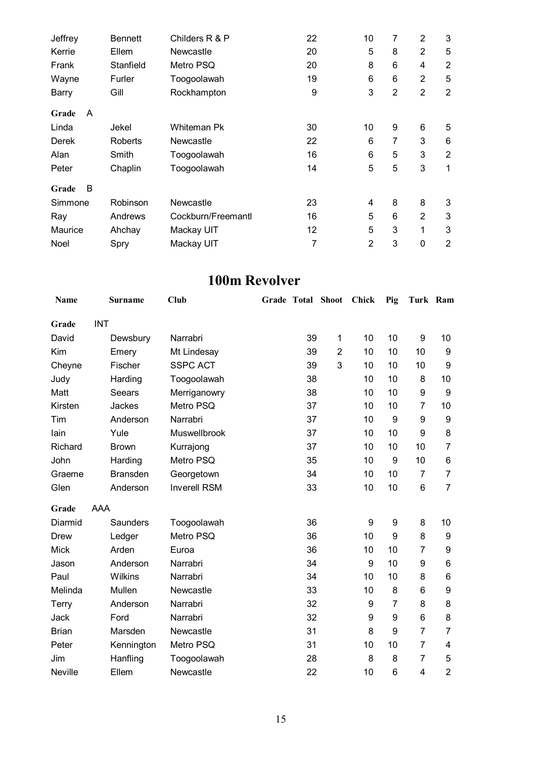| Jeffrey    | <b>Bennett</b> | Childers R & P     | 22 | 10             | 7              | $\overline{2}$ | 3              |
|------------|----------------|--------------------|----|----------------|----------------|----------------|----------------|
| Kerrie     | Ellem          | Newcastle          | 20 | 5              | 8              | $\overline{2}$ | 5              |
| Frank      | Stanfield      | Metro PSQ          | 20 | 8              | 6              | 4              | $\overline{2}$ |
| Wayne      | Furler         | Toogoolawah        | 19 | 6              | 6              | $\overline{2}$ | 5              |
| Barry      | Gill           | Rockhampton        | 9  | 3              | $\overline{2}$ | $\overline{2}$ | $\overline{2}$ |
| A<br>Grade |                |                    |    |                |                |                |                |
| Linda      | Jekel          | Whiteman Pk        | 30 | 10             | 9              | 6              | 5              |
| Derek      | Roberts        | Newcastle          | 22 | 6              | 7              | 3              | 6              |
| Alan       | Smith          | Toogoolawah        | 16 | 6              | 5              | 3              | $\overline{2}$ |
| Peter      | Chaplin        | Toogoolawah        | 14 | 5              | 5              | 3              | 1              |
| B<br>Grade |                |                    |    |                |                |                |                |
| Simmone    | Robinson       | Newcastle          | 23 | $\overline{4}$ | 8              | 8              | 3              |
| Ray        | Andrews        | Cockburn/Freemantl | 16 | 5              | 6              | $\overline{2}$ | 3              |
| Maurice    | Ahchay         | Mackay UIT         | 12 | 5              | 3              | 1              | 3              |
| Noel       | Spry           | Mackay UIT         | 7  | $\overline{2}$ | 3              | 0              | $\overline{2}$ |

### **100m Revolver**

| <b>Name</b>  |            | <b>Surname</b>  | Club                | <b>Grade Total Shoot</b> |                | <b>Chick</b> | Pig            | Turk Ram       |                         |
|--------------|------------|-----------------|---------------------|--------------------------|----------------|--------------|----------------|----------------|-------------------------|
| Grade        | <b>INT</b> |                 |                     |                          |                |              |                |                |                         |
| David        |            | Dewsbury        | Narrabri            | 39                       | 1              | 10           | 10             | 9              | 10                      |
| Kim          |            | Emery           | Mt Lindesay         | 39                       | $\overline{2}$ | 10           | 10             | 10             | 9                       |
| Cheyne       |            | Fischer         | <b>SSPC ACT</b>     | 39                       | 3              | 10           | 10             | 10             | 9                       |
| Judy         |            | Harding         | Toogoolawah         | 38                       |                | 10           | 10             | 8              | 10                      |
| Matt         |            | <b>Seears</b>   | Merriganowry        | 38                       |                | 10           | 10             | 9              | $\boldsymbol{9}$        |
| Kirsten      |            | Jackes          | Metro PSQ           | 37                       |                | 10           | 10             | 7              | 10                      |
| Tim          |            | Anderson        | Narrabri            | 37                       |                | 10           | 9              | 9              | 9                       |
| lain         |            | Yule            | Muswellbrook        | 37                       |                | 10           | 10             | 9              | 8                       |
| Richard      |            | <b>Brown</b>    | Kurrajong           | 37                       |                | 10           | 10             | 10             | $\overline{7}$          |
| John         |            | Harding         | Metro PSQ           | 35                       |                | 10           | 9              | 10             | 6                       |
| Graeme       |            | <b>Bransden</b> | Georgetown          | 34                       |                | 10           | 10             | 7              | $\overline{7}$          |
| Glen         |            | Anderson        | <b>Inverell RSM</b> | 33                       |                | 10           | 10             | 6              | $\overline{7}$          |
| Grade        | AAA        |                 |                     |                          |                |              |                |                |                         |
| Diarmid      |            | Saunders        | Toogoolawah         | 36                       |                | 9            | 9              | 8              | 10                      |
| <b>Drew</b>  |            | Ledger          | Metro PSQ           | 36                       |                | 10           | 9              | 8              | 9                       |
| <b>Mick</b>  |            | Arden           | Euroa               | 36                       |                | 10           | 10             | 7              | 9                       |
| Jason        |            | Anderson        | Narrabri            | 34                       |                | 9            | 10             | 9              | 6                       |
| Paul         |            | Wilkins         | Narrabri            | 34                       |                | 10           | 10             | 8              | 6                       |
| Melinda      |            | Mullen          | Newcastle           | 33                       |                | 10           | 8              | 6              | $\boldsymbol{9}$        |
| Terry        |            | Anderson        | Narrabri            | 32                       |                | 9            | $\overline{7}$ | 8              | 8                       |
| Jack         |            | Ford            | Narrabri            | 32                       |                | 9            | 9              | 6              | 8                       |
| <b>Brian</b> |            | Marsden         | Newcastle           | 31                       |                | 8            | 9              | $\overline{7}$ | $\overline{7}$          |
| Peter        |            | Kennington      | Metro PSQ           | 31                       |                | 10           | 10             | $\overline{7}$ | $\overline{\mathbf{4}}$ |
| Jim          |            | Hanfling        | Toogoolawah         | 28                       |                | 8            | 8              | 7              | 5                       |
| Neville      |            | Ellem           | Newcastle           | 22                       |                | 10           | 6              | 4              | $\overline{2}$          |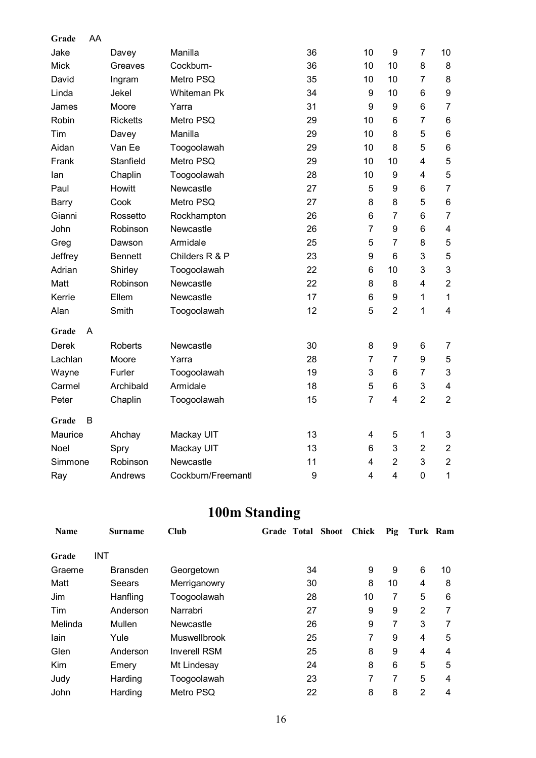| Grade       | AA |                 |                    |                  |                         |                |                |                           |
|-------------|----|-----------------|--------------------|------------------|-------------------------|----------------|----------------|---------------------------|
| Jake        |    | Davey           | Manilla            | 36               | 10                      | 9              | $\overline{7}$ | 10                        |
| <b>Mick</b> |    | Greaves         | Cockburn-          | 36               | 10                      | 10             | 8              | 8                         |
| David       |    | Ingram          | Metro PSQ          | 35               | 10                      | 10             | $\overline{7}$ | 8                         |
| Linda       |    | Jekel           | <b>Whiteman Pk</b> | 34               | 9                       | 10             | 6              | 9                         |
| James       |    | Moore           | Yarra              | 31               | 9                       | 9              | 6              | $\overline{7}$            |
| Robin       |    | <b>Ricketts</b> | Metro PSQ          | 29               | 10                      | 6              | $\overline{7}$ | 6                         |
| Tim         |    | Davey           | Manilla            | 29               | 10                      | 8              | 5              | 6                         |
| Aidan       |    | Van Ee          | Toogoolawah        | 29               | 10                      | 8              | 5              | 6                         |
| Frank       |    | Stanfield       | Metro PSQ          | 29               | 10                      | 10             | 4              | 5                         |
| lan         |    | Chaplin         | Toogoolawah        | 28               | 10                      | 9              | 4              | 5                         |
| Paul        |    | Howitt          | Newcastle          | 27               | 5                       | 9              | 6              | $\overline{7}$            |
| Barry       |    | Cook            | Metro PSQ          | 27               | 8                       | 8              | 5              | 6                         |
| Gianni      |    | Rossetto        | Rockhampton        | 26               | 6                       | $\overline{7}$ | 6              | $\overline{7}$            |
| John        |    | Robinson        | Newcastle          | 26               | $\overline{7}$          | 9              | 6              | $\overline{\mathbf{4}}$   |
| Greg        |    | Dawson          | Armidale           | 25               | 5                       | $\overline{7}$ | 8              | 5                         |
| Jeffrey     |    | <b>Bennett</b>  | Childers R & P     | 23               | 9                       | 6              | 3              | 5                         |
| Adrian      |    | Shirley         | Toogoolawah        | 22               | 6                       | 10             | 3              | 3                         |
| Matt        |    | Robinson        | Newcastle          | 22               | 8                       | 8              | $\overline{4}$ | $\overline{2}$            |
| Kerrie      |    | Ellem           | Newcastle          | 17               | 6                       | 9              | $\mathbf{1}$   | $\mathbf{1}$              |
| Alan        |    | Smith           | Toogoolawah        | 12               | 5                       | $\overline{2}$ | $\mathbf{1}$   | $\overline{4}$            |
| Grade       | A  |                 |                    |                  |                         |                |                |                           |
| Derek       |    | <b>Roberts</b>  | Newcastle          | 30               | 8                       | 9              | 6              | $\overline{7}$            |
| Lachlan     |    | Moore           | Yarra              | 28               | $\overline{7}$          | $\overline{7}$ | 9              | 5                         |
| Wayne       |    | Furler          | Toogoolawah        | 19               | 3                       | 6              | $\overline{7}$ | $\ensuremath{\mathsf{3}}$ |
| Carmel      |    | Archibald       | Armidale           | 18               | 5                       | 6              | 3              | $\overline{\mathbf{4}}$   |
| Peter       |    | Chaplin         | Toogoolawah        | 15               | $\overline{7}$          | 4              | $\overline{2}$ | $\overline{2}$            |
| Grade       | B  |                 |                    |                  |                         |                |                |                           |
| Maurice     |    | Ahchay          | Mackay UIT         | 13               | 4                       | 5              | $\mathbf{1}$   | 3                         |
| Noel        |    | Spry            | Mackay UIT         | 13               | 6                       | 3              | $\overline{2}$ | $\overline{c}$            |
| Simmone     |    | Robinson        | Newcastle          | 11               | 4                       | $\overline{2}$ | 3              | $\overline{2}$            |
| Ray         |    | Andrews         | Cockburn/Freemantl | $\boldsymbol{9}$ | $\overline{\mathbf{4}}$ | $\overline{4}$ | $\overline{0}$ | 1                         |

# **100m Standing**

| <b>Name</b> | <b>Surname</b>  | <b>Club</b>         | <b>Shoot</b><br>Grade Total | Chick | Pig | Turk Ram       |    |
|-------------|-----------------|---------------------|-----------------------------|-------|-----|----------------|----|
| Grade       | INT             |                     |                             |       |     |                |    |
| Graeme      | <b>Bransden</b> | Georgetown          | 34                          | 9     | 9   | 6              | 10 |
| Matt        | Seears          | Merriganowry        | 30                          | 8     | 10  | 4              | 8  |
| Jim         | Hanfling        | Toogoolawah         | 28                          | 10    | 7   | 5              | 6  |
| Tim         | Anderson        | Narrabri            | 27                          | 9     | 9   | $\overline{2}$ | 7  |
| Melinda     | Mullen          | Newcastle           | 26                          | 9     | 7   | 3              | 7  |
| lain        | Yule            | <b>Muswellbrook</b> | 25                          | 7     | 9   | 4              | 5  |
| Glen        | Anderson        | <b>Inverell RSM</b> | 25                          | 8     | 9   | 4              | 4  |
| Kim         | Emery           | Mt Lindesay         | 24                          | 8     | 6   | 5              | 5  |
| Judy        | Harding         | Toogoolawah         | 23                          | 7     | 7   | 5              | 4  |
| John        | Harding         | Metro PSQ           | 22                          | 8     | 8   | 2              | 4  |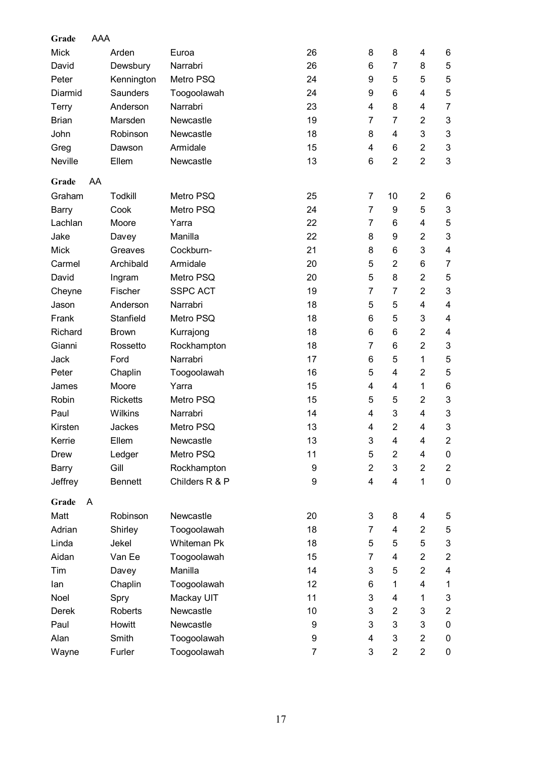| Grade        | AAA |                 |                    |    |                           |                |                |                           |
|--------------|-----|-----------------|--------------------|----|---------------------------|----------------|----------------|---------------------------|
| <b>Mick</b>  |     | Arden           | Euroa              | 26 | 8                         | 8              | 4              | 6                         |
| David        |     | Dewsbury        | Narrabri           | 26 | 6                         | $\overline{7}$ | 8              | 5                         |
| Peter        |     | Kennington      | Metro PSQ          | 24 | 9                         | 5              | 5              | 5                         |
| Diarmid      |     | Saunders        | Toogoolawah        | 24 | 9                         | 6              | 4              | 5                         |
| <b>Terry</b> |     | Anderson        | Narrabri           | 23 | $\overline{4}$            | 8              | 4              | $\overline{7}$            |
| <b>Brian</b> |     | Marsden         | Newcastle          | 19 | $\overline{7}$            | $\overline{7}$ | $\overline{2}$ | 3                         |
| John         |     | Robinson        | Newcastle          | 18 | 8                         | 4              | 3              | 3                         |
| Greg         |     | Dawson          | Armidale           | 15 | 4                         | 6              | $\overline{2}$ | 3                         |
| Neville      |     | Ellem           | Newcastle          | 13 | 6                         | $\overline{2}$ | $\overline{2}$ | 3                         |
| Grade        | AA  |                 |                    |    |                           |                |                |                           |
| Graham       |     | Todkill         | Metro PSQ          | 25 | $\overline{7}$            | 10             | $\overline{2}$ | 6                         |
| <b>Barry</b> |     | Cook            | Metro PSQ          | 24 | $\overline{7}$            | 9              | 5              | 3                         |
| Lachlan      |     | Moore           | Yarra              | 22 | $\overline{7}$            | 6              | 4              | 5                         |
| Jake         |     | Davey           | Manilla            | 22 | 8                         | 9              | $\overline{2}$ | 3                         |
| <b>Mick</b>  |     | Greaves         | Cockburn-          | 21 | 8                         | 6              | 3              | 4                         |
| Carmel       |     | Archibald       | Armidale           | 20 | 5                         | $\overline{2}$ | 6              | $\overline{7}$            |
| David        |     | Ingram          | Metro PSQ          | 20 | 5                         | 8              | $\overline{2}$ | 5                         |
| Cheyne       |     | Fischer         | <b>SSPC ACT</b>    | 19 | 7                         | 7              | $\overline{2}$ | 3                         |
| Jason        |     | Anderson        | Narrabri           | 18 | 5                         | 5              | 4              | 4                         |
| Frank        |     | Stanfield       | Metro PSQ          | 18 | 6                         | 5              | 3              | 4                         |
| Richard      |     | <b>Brown</b>    | Kurrajong          | 18 | 6                         | 6              | $\overline{2}$ | 4                         |
| Gianni       |     | Rossetto        | Rockhampton        | 18 | $\overline{7}$            | 6              | $\overline{2}$ | $\ensuremath{\mathsf{3}}$ |
| Jack         |     | Ford            | Narrabri           | 17 | 6                         | 5              | 1              | 5                         |
| Peter        |     | Chaplin         | Toogoolawah        | 16 | 5                         | 4              | $\overline{2}$ | 5                         |
| James        |     | Moore           | Yarra              | 15 | $\overline{4}$            | 4              | 1              | 6                         |
| Robin        |     | <b>Ricketts</b> | Metro PSQ          | 15 | 5                         | 5              | 2              | 3                         |
| Paul         |     | Wilkins         | Narrabri           | 14 | $\overline{\mathbf{4}}$   | 3              | 4              | 3                         |
| Kirsten      |     | Jackes          | Metro PSQ          | 13 | $\overline{\mathbf{4}}$   | $\overline{2}$ | 4              | 3                         |
| Kerrie       |     | Ellem           | Newcastle          | 13 | $\ensuremath{\mathsf{3}}$ | 4              | 4              | $\overline{c}$            |
| <b>Drew</b>  |     | Ledger          | Metro PSQ          | 11 | 5                         | $\overline{2}$ | 4              | 0                         |
| Barry        |     | Gill            | Rockhampton        | 9  | $\overline{2}$            | 3              | $\overline{2}$ | $\overline{2}$            |
| Jeffrey      |     | <b>Bennett</b>  | Childers R & P     | 9  | $\overline{\mathbf{4}}$   | 4              | $\mathbf{1}$   | 0                         |
| Grade        | A   |                 |                    |    |                           |                |                |                           |
| Matt         |     | Robinson        | Newcastle          | 20 | 3                         | 8              | 4              | 5                         |
| Adrian       |     | Shirley         | Toogoolawah        | 18 | $\overline{7}$            | 4              | $\overline{2}$ | 5                         |
| Linda        |     | Jekel           | <b>Whiteman Pk</b> | 18 | 5                         | 5              | 5              | $\ensuremath{\mathsf{3}}$ |
| Aidan        |     | Van Ee          | Toogoolawah        | 15 | $\overline{7}$            | 4              | $\overline{2}$ | $\overline{2}$            |
| Tim          |     | Davey           | Manilla            | 14 | 3                         | 5              | $\overline{2}$ | 4                         |
| lan          |     | Chaplin         | Toogoolawah        | 12 | 6                         | 1              | 4              | 1                         |
| Noel         |     | Spry            | Mackay UIT         | 11 | 3                         | 4              | 1              | 3                         |
| Derek        |     | <b>Roberts</b>  | Newcastle          | 10 | 3                         | $\overline{2}$ | 3              | $\boldsymbol{2}$          |
| Paul         |     | Howitt          | Newcastle          | 9  | 3                         | 3              | 3              | $\pmb{0}$                 |
| Alan         |     | Smith           | Toogoolawah        | 9  | 4                         | 3              | $\overline{2}$ | 0                         |
| Wayne        |     | Furler          | Toogoolawah        | 7  | 3                         | $\overline{2}$ | $\overline{c}$ | 0                         |
|              |     |                 |                    |    |                           |                |                |                           |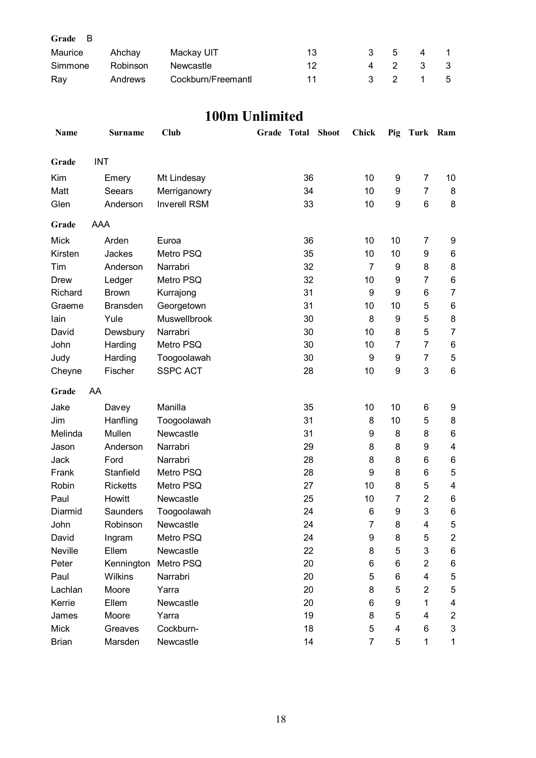| Grade B |          |                   |    |                           |     |       |                |
|---------|----------|-------------------|----|---------------------------|-----|-------|----------------|
| Maurice | Ahchav   | Mackay UIT        | 13 |                           | 3 5 | 4     | $\overline{1}$ |
| Simmone | Robinson | Newcastle         | 12 |                           |     | 4 2 3 | - 3            |
| Ray     | Andrews  | Cockburn/Freemant | 11 | $\mathbf{3}$ $\mathbf{2}$ |     |       | - 5            |

### **100m Unlimited**

| Name         | <b>Surname</b>  | Club                | Grade Total | <b>Shoot</b> | <b>Chick</b>   | Pig | Turk                    | Ram                       |
|--------------|-----------------|---------------------|-------------|--------------|----------------|-----|-------------------------|---------------------------|
| Grade        | <b>INT</b>      |                     |             |              |                |     |                         |                           |
| Kim          | Emery           | Mt Lindesay         | 36          |              | 10             | 9   | $\overline{7}$          | 10                        |
| Matt         | Seears          | Merriganowry        | 34          |              | 10             | 9   | $\overline{7}$          | 8                         |
| Glen         | Anderson        | <b>Inverell RSM</b> | 33          |              | 10             | 9   | 6                       | 8                         |
| Grade        | AAA             |                     |             |              |                |     |                         |                           |
|              |                 |                     |             |              |                |     |                         |                           |
| Mick         | Arden           | Euroa               | 36          |              | 10             | 10  | 7                       | 9                         |
| Kirsten      | Jackes          | Metro PSQ           | 35          |              | 10             | 10  | 9                       | 6                         |
| Tim          | Anderson        | Narrabri            | 32          |              | 7              | 9   | 8                       | 8                         |
| <b>Drew</b>  | Ledger          | Metro PSQ           | 32          |              | 10             | 9   | 7                       | 6                         |
| Richard      | <b>Brown</b>    | Kurrajong           | 31          |              | 9              | 9   | 6                       | $\overline{7}$            |
| Graeme       | <b>Bransden</b> | Georgetown          | 31          |              | 10             | 10  | 5                       | 6                         |
| lain         | Yule            | Muswellbrook        | 30          |              | 8              | 9   | 5                       | 8                         |
| David        | Dewsbury        | Narrabri            | 30          |              | 10             | 8   | 5                       | $\overline{7}$            |
| John         | Harding         | Metro PSQ           | 30          |              | 10             | 7   | $\overline{7}$          | 6                         |
| Judy         | Harding         | Toogoolawah         | 30          |              | 9              | 9   | 7                       | 5                         |
| Cheyne       | Fischer         | <b>SSPC ACT</b>     | 28          |              | 10             | 9   | 3                       | $\,6$                     |
| Grade        | AA              |                     |             |              |                |     |                         |                           |
| Jake         | Davey           | Manilla             | 35          |              | 10             | 10  | 6                       | 9                         |
| Jim          | Hanfling        | Toogoolawah         | 31          |              | 8              | 10  | 5                       | 8                         |
| Melinda      | Mullen          | Newcastle           | 31          |              | 9              | 8   | 8                       | 6                         |
| Jason        | Anderson        | Narrabri            | 29          |              | 8              | 8   | 9                       | 4                         |
| Jack         | Ford            | Narrabri            | 28          |              | 8              | 8   | 6                       | 6                         |
| Frank        | Stanfield       | Metro PSQ           | 28          |              | 9              | 8   | 6                       | 5                         |
| Robin        | <b>Ricketts</b> | Metro PSQ           | 27          |              | 10             | 8   | 5                       | $\overline{\mathbf{4}}$   |
| Paul         | Howitt          | Newcastle           | 25          |              | 10             | 7   | $\overline{c}$          | 6                         |
| Diarmid      | Saunders        | Toogoolawah         | 24          |              | 6              | 9   | 3                       | 6                         |
| John         | Robinson        | Newcastle           | 24          |              | $\overline{7}$ | 8   | 4                       | 5                         |
| David        | Ingram          | Metro PSQ           | 24          |              | 9              | 8   | 5                       | 2                         |
| Neville      | Ellem           | Newcastle           | 22          |              | 8              | 5   | 3                       | 6                         |
| Peter        | Kennington      | Metro PSQ           | 20          |              | 6              | 6   | $\overline{2}$          | 6                         |
| Paul         | Wilkins         | Narrabri            | 20          |              | 5              | 6   | $\overline{\mathbf{4}}$ | $\mathbf 5$               |
| Lachlan      | Moore           | Yarra               | 20          |              | 8              | 5   | $\overline{c}$          | $\mathbf 5$               |
| Kerrie       | Ellem           | Newcastle           | 20          |              | 6              | 9   | 1                       | 4                         |
| James        | Moore           | Yarra               | 19          |              | 8              | 5   | 4                       | $\overline{c}$            |
| Mick         | Greaves         | Cockburn-           | 18          |              | 5              | 4   | 6                       | $\ensuremath{\mathsf{3}}$ |
|              |                 |                     |             |              | $\overline{7}$ |     |                         |                           |
| <b>Brian</b> | Marsden         | Newcastle           | 14          |              |                | 5   | $\mathbf{1}$            | $\mathbf{1}$              |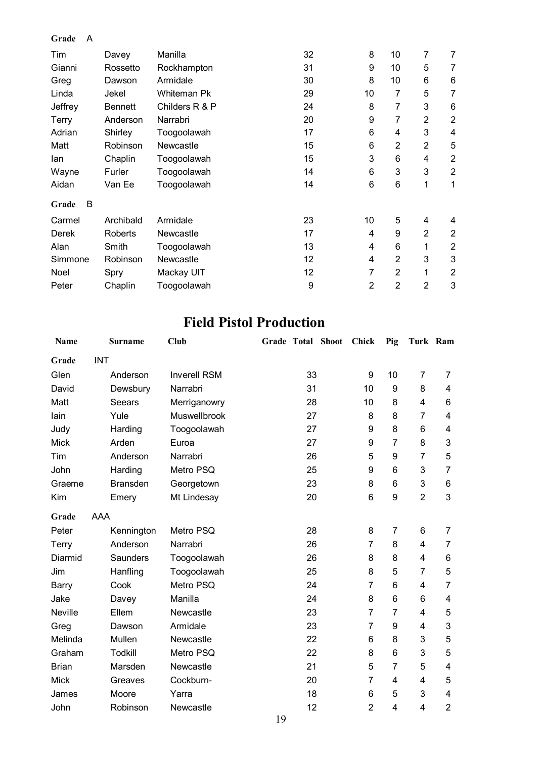#### **Grade** A

| Tim          | Davey          | Manilla        | 32 | 8              | 10             | 7              | 7              |
|--------------|----------------|----------------|----|----------------|----------------|----------------|----------------|
| Gianni       | Rossetto       | Rockhampton    | 31 | 9              | 10             | 5              | 7              |
| Greg         | Dawson         | Armidale       | 30 | 8              | 10             | 6              | 6              |
| Linda        | Jekel          | Whiteman Pk    | 29 | 10             | 7              | 5              | 7              |
| Jeffrey      | <b>Bennett</b> | Childers R & P | 24 | 8              | 7              | 3              | 6              |
| Terry        | Anderson       | Narrabri       | 20 | 9              | 7              | $\overline{2}$ | $\overline{2}$ |
| Adrian       | Shirley        | Toogoolawah    | 17 | 6              | 4              | 3              | 4              |
| Matt         | Robinson       | Newcastle      | 15 | 6              | $\overline{2}$ | $\overline{2}$ | 5              |
| lan          | Chaplin        | Toogoolawah    | 15 | 3              | 6              | 4              | $\overline{2}$ |
| Wayne        | Furler         | Toogoolawah    | 14 | 6              | 3              | 3              | $\overline{2}$ |
| Aidan        | Van Ee         | Toogoolawah    | 14 | 6              | 6              | 1              | 1              |
| B<br>Grade   |                |                |    |                |                |                |                |
| Carmel       | Archibald      | Armidale       | 23 | 10             | 5              | 4              | 4              |
| <b>Derek</b> | Roberts        | Newcastle      | 17 | 4              | 9              | $\overline{2}$ | $\overline{2}$ |
| Alan         | Smith          | Toogoolawah    | 13 | 4              | 6              | 1              | $\overline{2}$ |
| Simmone      | Robinson       | Newcastle      | 12 | 4              | $\overline{2}$ | 3              | 3              |
| Noel         | Spry           | Mackay UIT     | 12 | 7              | $\overline{2}$ | 1              | $\overline{2}$ |
| Peter        | Chaplin        | Toogoolawah    | 9  | $\overline{2}$ | $\overline{2}$ | $\overline{2}$ | 3              |

### **Field Pistol Production**

| <b>Name</b>    |            | <b>Surname</b>  | Club                | <b>Grade Total Shoot</b> | Chick          | Pig            | Turk Ram       |                |
|----------------|------------|-----------------|---------------------|--------------------------|----------------|----------------|----------------|----------------|
| Grade          | <b>INT</b> |                 |                     |                          |                |                |                |                |
| Glen           |            | Anderson        | <b>Inverell RSM</b> | 33                       | 9              | 10             | $\overline{7}$ | 7              |
| David          |            | Dewsbury        | Narrabri            | 31                       | 10             | 9              | 8              | 4              |
| Matt           |            | <b>Seears</b>   | Merriganowry        | 28                       | 10             | 8              | 4              | 6              |
| lain           | Yule       |                 | Muswellbrook        | 27                       | 8              | 8              | $\overline{7}$ | 4              |
| Judy           |            | Harding         | Toogoolawah         | 27                       | 9              | 8              | 6              | 4              |
| <b>Mick</b>    | Arden      |                 | Euroa               | 27                       | 9              | $\overline{7}$ | 8              | 3              |
| Tim            |            | Anderson        | Narrabri            | 26                       | 5              | 9              | $\overline{7}$ | 5              |
| John           |            | Harding         | Metro PSQ           | 25                       | 9              | 6              | 3              | 7              |
| Graeme         |            | <b>Bransden</b> | Georgetown          | 23                       | 8              | 6              | 3              | 6              |
| Kim            |            | Emery           | Mt Lindesay         | 20                       | 6              | 9              | $\overline{2}$ | 3              |
| Grade          | <b>AAA</b> |                 |                     |                          |                |                |                |                |
| Peter          |            | Kennington      | Metro PSQ           | 28                       | 8              | 7              | 6              | 7              |
| Terry          |            | Anderson        | Narrabri            | 26                       | $\overline{7}$ | 8              | 4              | 7              |
| Diarmid        |            | Saunders        | Toogoolawah         | 26                       | 8              | 8              | 4              | 6              |
| Jim            |            | Hanfling        | Toogoolawah         | 25                       | 8              | 5              | $\overline{7}$ | 5              |
| Barry          | Cook       |                 | Metro PSQ           | 24                       | $\overline{7}$ | 6              | 4              | $\overline{7}$ |
| Jake           |            | Davey           | Manilla             | 24                       | 8              | 6              | 6              | 4              |
| <b>Neville</b> | Ellem      |                 | Newcastle           | 23                       | $\overline{7}$ | $\overline{7}$ | 4              | 5              |
| Greg           |            | Dawson          | Armidale            | 23                       | $\overline{7}$ | 9              | 4              | 3              |
| Melinda        |            | Mullen          | Newcastle           | 22                       | 6              | 8              | 3              | 5              |
| Graham         |            | <b>Todkill</b>  | Metro PSQ           | 22                       | 8              | 6              | 3              | 5              |
| <b>Brian</b>   |            | Marsden         | Newcastle           | 21                       | 5              | $\overline{7}$ | 5              | 4              |
| <b>Mick</b>    |            | Greaves         | Cockburn-           | 20                       | 7              | 4              | 4              | 5              |
| James          |            | Moore           | Yarra               | 18                       | 6              | 5              | 3              | 4              |
| John           |            | Robinson        | Newcastle           | 12                       | $\overline{2}$ | 4              | 4              | $\overline{2}$ |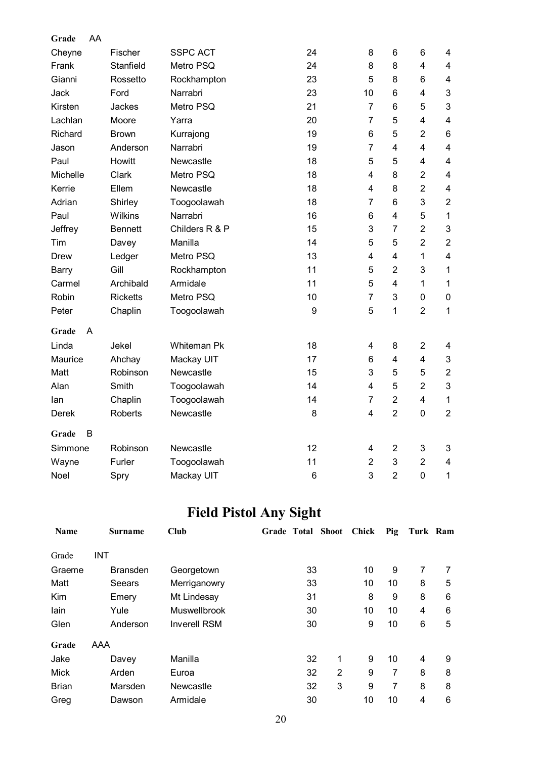| Grade    | AA |                 |                    |    |                         |                |                |                         |
|----------|----|-----------------|--------------------|----|-------------------------|----------------|----------------|-------------------------|
| Cheyne   |    | Fischer         | <b>SSPC ACT</b>    | 24 | 8                       | 6              | 6              | 4                       |
| Frank    |    | Stanfield       | Metro PSQ          | 24 | 8                       | 8              | $\overline{4}$ | $\overline{\mathbf{4}}$ |
| Gianni   |    | Rossetto        | Rockhampton        | 23 | 5                       | 8              | 6              | $\overline{\mathbf{4}}$ |
| Jack     |    | Ford            | Narrabri           | 23 | 10                      | 6              | 4              | 3                       |
| Kirsten  |    | Jackes          | Metro PSQ          | 21 | $\overline{7}$          | 6              | 5              | 3                       |
| Lachlan  |    | Moore           | Yarra              | 20 | $\overline{7}$          | 5              | 4              | $\overline{\mathbf{4}}$ |
| Richard  |    | <b>Brown</b>    | Kurrajong          | 19 | 6                       | 5              | $\overline{2}$ | 6                       |
| Jason    |    | Anderson        | Narrabri           | 19 | $\overline{7}$          | $\overline{4}$ | $\overline{4}$ | $\overline{\mathbf{4}}$ |
| Paul     |    | Howitt          | Newcastle          | 18 | 5                       | 5              | $\overline{4}$ | $\overline{\mathbf{4}}$ |
| Michelle |    | Clark           | Metro PSQ          | 18 | 4                       | 8              | $\overline{2}$ | $\overline{\mathbf{4}}$ |
| Kerrie   |    | Ellem           | Newcastle          | 18 | 4                       | 8              | $\overline{2}$ | $\overline{\mathbf{4}}$ |
| Adrian   |    | Shirley         | Toogoolawah        | 18 | $\overline{7}$          | 6              | 3              | $\mathbf{2}$            |
| Paul     |    | <b>Wilkins</b>  | Narrabri           | 16 | 6                       | 4              | 5              | $\mathbf{1}$            |
| Jeffrey  |    | <b>Bennett</b>  | Childers R & P     | 15 | 3                       | $\overline{7}$ | $\overline{2}$ | 3                       |
| Tim      |    | Davey           | Manilla            | 14 | 5                       | 5              | $\overline{2}$ | $\overline{2}$          |
| Drew     |    | Ledger          | Metro PSQ          | 13 | 4                       | 4              | $\mathbf{1}$   | $\overline{\mathbf{4}}$ |
| Barry    |    | Gill            | Rockhampton        | 11 | 5                       | $\overline{2}$ | 3              | $\mathbf 1$             |
| Carmel   |    | Archibald       | Armidale           | 11 | 5                       | 4              | $\mathbf{1}$   | $\mathbf{1}$            |
| Robin    |    | <b>Ricketts</b> | Metro PSQ          | 10 | $\overline{7}$          | 3              | 0              | $\pmb{0}$               |
| Peter    |    | Chaplin         | Toogoolawah        | 9  | 5                       | 1              | $\overline{2}$ | $\mathbf{1}$            |
| Grade    | A  |                 |                    |    |                         |                |                |                         |
| Linda    |    | Jekel           | <b>Whiteman Pk</b> | 18 | 4                       | 8              | $\overline{2}$ | 4                       |
| Maurice  |    | Ahchay          | Mackay UIT         | 17 | 6                       | 4              | 4              | 3                       |
| Matt     |    | Robinson        | Newcastle          | 15 | 3                       | 5              | 5              | $\boldsymbol{2}$        |
| Alan     |    | Smith           | Toogoolawah        | 14 | $\overline{\mathbf{4}}$ | 5              | $\overline{2}$ | 3                       |
| lan      |    | Chaplin         | Toogoolawah        | 14 | $\overline{7}$          | $\overline{2}$ | $\overline{4}$ | $\mathbf{1}$            |
| Derek    |    | <b>Roberts</b>  | Newcastle          | 8  | $\overline{\mathbf{4}}$ | $\overline{2}$ | 0              | $\overline{2}$          |
| Grade    | B  |                 |                    |    |                         |                |                |                         |
| Simmone  |    | Robinson        | Newcastle          | 12 | 4                       | $\overline{2}$ | 3              | 3                       |
| Wayne    |    | Furler          | Toogoolawah        | 11 | $\overline{2}$          | 3              | $\overline{2}$ | $\overline{\mathbf{4}}$ |
| Noel     |    | Spry            | Mackay UIT         | 6  | 3                       | $\overline{2}$ | $\overline{0}$ | $\mathbf 1$             |

# **Field Pistol Any Sight**

| <b>Name</b>  | <b>Surname</b>  | Club                | Grade Total Shoot |   | Chick | Pig | Turk Ram       |   |
|--------------|-----------------|---------------------|-------------------|---|-------|-----|----------------|---|
| Grade        | <b>INT</b>      |                     |                   |   |       |     |                |   |
| Graeme       | <b>Bransden</b> | Georgetown          | 33                |   | 10    | 9   | 7              | 7 |
| Matt         | Seears          | Merriganowry        | 33                |   | 10    | 10  | 8              | 5 |
| Kim          | Emery           | Mt Lindesay         | 31                |   | 8     | 9   | 8              | 6 |
| lain         | Yule            | Muswellbrook        | 30                |   | 10    | 10  | 4              | 6 |
| Glen         | Anderson        | <b>Inverell RSM</b> | 30                |   | 9     | 10  | 6              | 5 |
| Grade        | <b>AAA</b>      |                     |                   |   |       |     |                |   |
| Jake         | Davey           | Manilla             | 32                | 1 | 9     | 10  | $\overline{4}$ | 9 |
| Mick         | Arden           | Euroa               | 32                | 2 | 9     | 7   | 8              | 8 |
| <b>Brian</b> | Marsden         | Newcastle           | 32                | 3 | 9     | 7   | 8              | 8 |
| Greg         | Dawson          | Armidale            | 30                |   | 10    | 10  | 4              | 6 |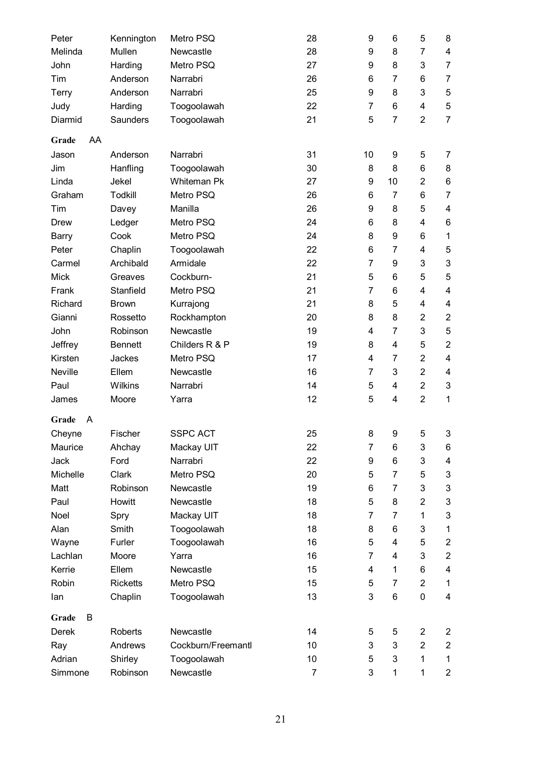| Peter<br>Melinda | Kennington<br>Mullen | Metro PSQ<br>Newcastle | 28<br>28 | 9<br>9         | 6<br>8         | 5<br>$\overline{7}$ | 8<br>4                    |
|------------------|----------------------|------------------------|----------|----------------|----------------|---------------------|---------------------------|
| John             | Harding              | Metro PSQ              | 27       | 9              | 8              | 3                   | $\overline{7}$            |
| Tim              | Anderson             | Narrabri               | 26       | 6              | 7              | 6                   | $\overline{7}$            |
| Terry            | Anderson             | Narrabri               | 25       | 9              | 8              | 3                   | 5                         |
| Judy             | Harding              | Toogoolawah            | 22       | $\overline{7}$ | 6              | 4                   | $\mathbf 5$               |
| Diarmid          | <b>Saunders</b>      | Toogoolawah            | 21       | 5              | $\overline{7}$ | $\overline{2}$      | $\overline{7}$            |
|                  |                      |                        |          |                |                |                     |                           |
| AA<br>Grade      |                      |                        |          |                |                |                     |                           |
| Jason            | Anderson             | Narrabri               | 31       | 10             | 9              | 5                   | 7                         |
| Jim              | Hanfling             | Toogoolawah            | 30       | 8              | 8              | 6                   | 8                         |
| Linda            | Jekel                | <b>Whiteman Pk</b>     | 27       | 9              | 10             | $\overline{2}$      | 6                         |
| Graham           | <b>Todkill</b>       | Metro PSQ              | 26       | 6              | $\overline{7}$ | 6                   | $\overline{7}$            |
| Tim              | Davey                | Manilla                | 26       | 9              | 8              | 5                   | 4                         |
| <b>Drew</b>      | Ledger               | Metro PSQ              | 24       | 6              | 8              | 4                   | 6                         |
| Barry            | Cook                 | Metro PSQ              | 24       | 8              | 9              | 6                   | 1                         |
| Peter            | Chaplin              | Toogoolawah            | 22       | 6              | $\overline{7}$ | 4                   | 5                         |
| Carmel           | Archibald            | Armidale               | 22       | 7              | 9              | 3                   | 3                         |
| <b>Mick</b>      | Greaves              | Cockburn-              | 21       | 5              | 6              | 5                   | 5                         |
| Frank            | Stanfield            | Metro PSQ              | 21       | $\overline{7}$ | 6              | 4                   | $\overline{\mathbf{4}}$   |
| Richard          | <b>Brown</b>         | Kurrajong              | 21       | 8              | 5              | 4                   | 4                         |
| Gianni           | Rossetto             | Rockhampton            | 20       | 8              | 8              | $\overline{2}$      | $\mathbf{2}$              |
| John             | Robinson             | Newcastle              | 19       | 4              | $\overline{7}$ | 3                   | 5                         |
| Jeffrey          | <b>Bennett</b>       | Childers R & P         | 19       | 8              | 4              | 5                   | $\overline{2}$            |
| Kirsten          | Jackes               | Metro PSQ              | 17       | 4              | $\overline{7}$ | $\overline{2}$      | $\overline{\mathbf{4}}$   |
| Neville          | Ellem                | Newcastle              | 16       | $\overline{7}$ | 3              | $\overline{2}$      | 4                         |
| Paul             | <b>Wilkins</b>       | Narrabri               | 14       | 5              | 4              | $\overline{2}$      | $\ensuremath{\mathsf{3}}$ |
| James            | Moore                | Yarra                  | 12       | 5              | 4              | $\overline{2}$      | 1                         |
| Grade<br>A       |                      |                        |          |                |                |                     |                           |
| Cheyne           | Fischer              | <b>SSPC ACT</b>        | 25       | 8              | 9              | 5                   | 3                         |
| Maurice          | Ahchay               | Mackay UIT             | 22       | 7              | 6              | 3                   | 6                         |
| Jack             | Ford                 | Narrabri               | 22       | 9              | 6              | 3                   | 4                         |
| Michelle         | Clark                | Metro PSQ              | 20       | 5              | $\overline{7}$ | 5                   | 3                         |
| Matt             | Robinson             | Newcastle              | 19       | 6              | 7              | 3                   | $\ensuremath{\mathsf{3}}$ |
| Paul             | Howitt               | Newcastle              | 18       | 5              | 8              | $\overline{2}$      | $\ensuremath{\mathsf{3}}$ |
| Noel             | Spry                 | Mackay UIT             | 18       | 7              | 7              | $\mathbf{1}$        | 3                         |
| Alan             | Smith                | Toogoolawah            | 18       | 8              | 6              | 3                   | $\mathbf 1$               |
| Wayne            | Furler               | Toogoolawah            | 16       | 5              | 4              | 5                   | $\overline{c}$            |
| Lachlan          | Moore                | Yarra                  | 16       | $\overline{7}$ | 4              | 3                   | $\boldsymbol{2}$          |
| Kerrie           | Ellem                | Newcastle              | 15       | 4              | 1              | 6                   | 4                         |
| Robin            | <b>Ricketts</b>      | Metro PSQ              | 15       | 5              | $\overline{7}$ | $\overline{2}$      | $\mathbf 1$               |
| lan              | Chaplin              | Toogoolawah            | 13       | 3              | 6              | 0                   | 4                         |
| Grade<br>B       |                      |                        |          |                |                |                     |                           |
| Derek            | <b>Roberts</b>       | Newcastle              | 14       | 5              | 5              | $\overline{2}$      | $\overline{c}$            |
| Ray              | Andrews              | Cockburn/Freemantl     | 10       | 3              | 3              | $\overline{2}$      | $\overline{2}$            |
| Adrian           | Shirley              | Toogoolawah            | 10       | 5              | 3              | $\mathbf{1}$        | $\mathbf 1$               |
| Simmone          | Robinson             | Newcastle              | 7        | 3              | $\mathbf{1}$   | $\mathbf{1}$        | $\overline{c}$            |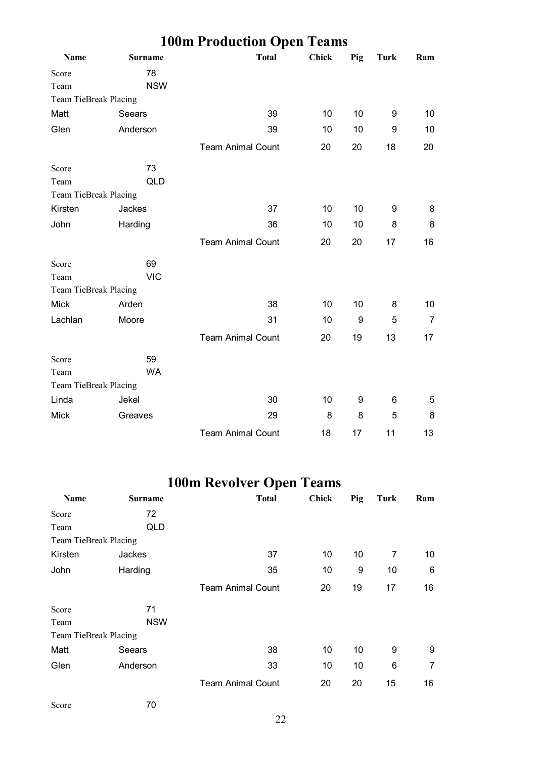|                       |                | <b>100m Production Open Teams</b> |              |     |             |     |
|-----------------------|----------------|-----------------------------------|--------------|-----|-------------|-----|
| Name                  | <b>Surname</b> | <b>Total</b>                      | <b>Chick</b> | Pig | <b>Turk</b> | Ram |
| Score                 | 78             |                                   |              |     |             |     |
| Team                  | <b>NSW</b>     |                                   |              |     |             |     |
| Team TieBreak Placing |                |                                   |              |     |             |     |
| Matt                  | Seears         | 39                                | 10           | 10  | 9           | 10  |
| Glen                  | Anderson       | 39                                | 10           | 10  | 9           | 10  |
|                       |                | <b>Team Animal Count</b>          | 20           | 20  | 18          | 20  |
| Score                 | 73             |                                   |              |     |             |     |
| Team                  | <b>QLD</b>     |                                   |              |     |             |     |
| Team TieBreak Placing |                |                                   |              |     |             |     |
| Kirsten               | Jackes         | 37                                | 10           | 10  | 9           | 8   |
| John                  | Harding        | 36                                | 10           | 10  | 8           | 8   |
|                       |                | <b>Team Animal Count</b>          | 20           | 20  | 17          | 16  |
| Score                 | 69             |                                   |              |     |             |     |
| Team                  | <b>VIC</b>     |                                   |              |     |             |     |
| Team TieBreak Placing |                |                                   |              |     |             |     |
| <b>Mick</b>           | Arden          | 38                                | 10           | 10  | 8           | 10  |
| Lachlan               | Moore          | 31                                | 10           | 9   | 5           | 7   |
|                       |                | <b>Team Animal Count</b>          | 20           | 19  | 13          | 17  |
| Score                 | 59             |                                   |              |     |             |     |
| Team                  | <b>WA</b>      |                                   |              |     |             |     |
| Team TieBreak Placing |                |                                   |              |     |             |     |
| Linda                 | Jekel          | 30                                | 10           | 9   | 6           | 5   |
| <b>Mick</b>           | Greaves        | 29                                | 8            | 8   | 5           | 8   |
|                       |                | <b>Team Animal Count</b>          | 18           | 17  | 11          | 13  |

# **100m Revolver Open Teams**

| Name                  | <b>Surname</b> | <b>Total</b>             | <b>Chick</b> | Pig | Turk | Ram |
|-----------------------|----------------|--------------------------|--------------|-----|------|-----|
| Score                 | 72             |                          |              |     |      |     |
| Team                  | QLD            |                          |              |     |      |     |
| Team TieBreak Placing |                |                          |              |     |      |     |
| Kirsten               | Jackes         | 37                       | 10           | 10  | 7    | 10  |
| John                  | Harding        | 35                       | 10           | 9   | 10   | 6   |
|                       |                | <b>Team Animal Count</b> | 20           | 19  | 17   | 16  |
| Score                 | 71             |                          |              |     |      |     |
| Team                  | <b>NSW</b>     |                          |              |     |      |     |
| Team TieBreak Placing |                |                          |              |     |      |     |
| Matt                  | Seears         | 38                       | 10           | 10  | 9    | 9   |
| Glen                  | Anderson       | 33                       | 10           | 10  | 6    | 7   |
|                       |                | <b>Team Animal Count</b> | 20           | 20  | 15   | 16  |

Score 70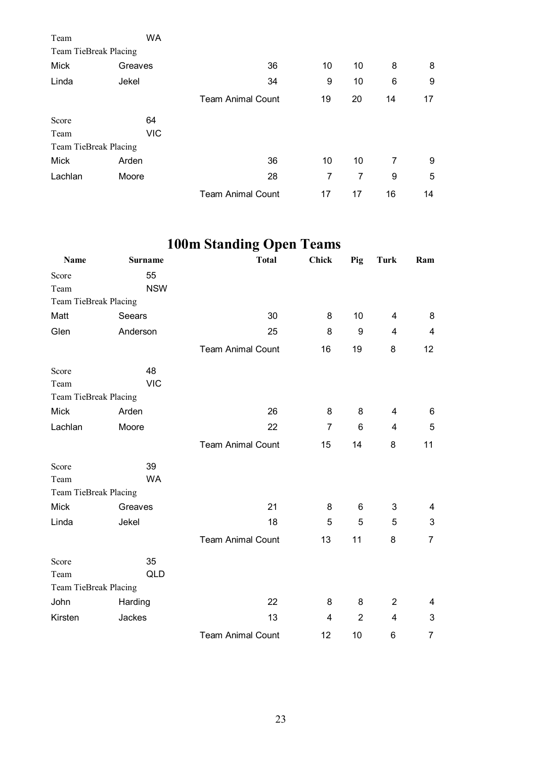| Team                  | WA         |                          |    |    |    |    |
|-----------------------|------------|--------------------------|----|----|----|----|
| Team TieBreak Placing |            |                          |    |    |    |    |
| Mick                  | Greaves    | 36                       | 10 | 10 | 8  | 8  |
| Linda                 | Jekel      | 34                       | 9  | 10 | 6  | 9  |
|                       |            | <b>Team Animal Count</b> | 19 | 20 | 14 | 17 |
| Score                 | 64         |                          |    |    |    |    |
| Team                  | <b>VIC</b> |                          |    |    |    |    |
| Team TieBreak Placing |            |                          |    |    |    |    |
| Mick                  | Arden      | 36                       | 10 | 10 | 7  | 9  |
| Lachlan               | Moore      | 28                       | 7  | 7  | 9  | 5  |
|                       |            | <b>Team Animal Count</b> | 17 | 17 | 16 | 14 |

# **100m Standing Open Teams**

| Name                  | Surname    | <b>Total</b>             | Chick          | Pig            | <b>Turk</b>    | Ram                     |
|-----------------------|------------|--------------------------|----------------|----------------|----------------|-------------------------|
| Score                 | 55         |                          |                |                |                |                         |
| Team                  | <b>NSW</b> |                          |                |                |                |                         |
| Team TieBreak Placing |            |                          |                |                |                |                         |
| Matt                  | Seears     | 30                       | 8              | 10             | 4              | 8                       |
| Glen                  | Anderson   | 25                       | 8              | 9              | 4              | $\overline{\mathbf{4}}$ |
|                       |            | <b>Team Animal Count</b> | 16             | 19             | 8              | 12                      |
| Score                 | 48         |                          |                |                |                |                         |
| Team                  | <b>VIC</b> |                          |                |                |                |                         |
| Team TieBreak Placing |            |                          |                |                |                |                         |
| <b>Mick</b>           | Arden      | 26                       | 8              | 8              | 4              | 6                       |
| Lachlan               | Moore      | 22                       | $\overline{7}$ | $6\phantom{a}$ | 4              | 5                       |
|                       |            | <b>Team Animal Count</b> | 15             | 14             | 8              | 11                      |
| Score                 | 39         |                          |                |                |                |                         |
| Team                  | <b>WA</b>  |                          |                |                |                |                         |
| Team TieBreak Placing |            |                          |                |                |                |                         |
| <b>Mick</b>           | Greaves    | 21                       | 8              | 6              | 3              | 4                       |
| Linda                 | Jekel      | 18                       | 5              | 5              | 5              | 3                       |
|                       |            | <b>Team Animal Count</b> | 13             | 11             | 8              | $\overline{7}$          |
| Score                 | 35         |                          |                |                |                |                         |
| Team                  | <b>QLD</b> |                          |                |                |                |                         |
| Team TieBreak Placing |            |                          |                |                |                |                         |
| John                  | Harding    | 22                       | 8              | 8              | $\overline{c}$ | 4                       |
| Kirsten               | Jackes     | 13                       | 4              | $\overline{2}$ | 4              | 3                       |
|                       |            | <b>Team Animal Count</b> | 12             | 10             | 6              | 7                       |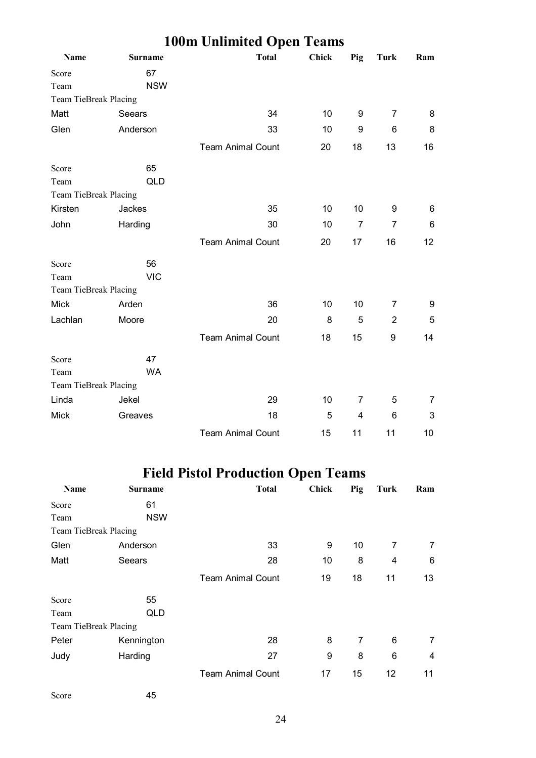|                       |                | Toom Chamned Open Teams  |              |                  |                 |     |  |
|-----------------------|----------------|--------------------------|--------------|------------------|-----------------|-----|--|
| Name                  | <b>Surname</b> | <b>Total</b>             | <b>Chick</b> | Pig              | <b>Turk</b>     | Ram |  |
| Score                 | 67             |                          |              |                  |                 |     |  |
| Team                  | <b>NSW</b>     |                          |              |                  |                 |     |  |
| Team TieBreak Placing |                |                          |              |                  |                 |     |  |
| Matt                  | Seears         | 34                       | 10           | 9                | $\overline{7}$  | 8   |  |
| Glen                  | Anderson       | 33                       | 10           | $\boldsymbol{9}$ | 6               | 8   |  |
|                       |                | <b>Team Animal Count</b> | 20           | 18               | 13              | 16  |  |
| Score                 | 65             |                          |              |                  |                 |     |  |
| Team                  | <b>QLD</b>     |                          |              |                  |                 |     |  |
| Team TieBreak Placing |                |                          |              |                  |                 |     |  |
| Kirsten               | Jackes         | 35                       | 10           | 10               | 9               | 6   |  |
| John                  | Harding        | 30                       | 10           | $\overline{7}$   | $\overline{7}$  | 6   |  |
|                       |                | <b>Team Animal Count</b> | 20           | 17               | 16              | 12  |  |
| Score                 | 56             |                          |              |                  |                 |     |  |
| Team                  | <b>VIC</b>     |                          |              |                  |                 |     |  |
| Team TieBreak Placing |                |                          |              |                  |                 |     |  |
| <b>Mick</b>           | Arden          | 36                       | 10           | 10               | 7               | 9   |  |
| Lachlan               | Moore          | 20                       | 8            | 5                | $\overline{2}$  | 5   |  |
|                       |                | <b>Team Animal Count</b> | 18           | 15               | 9               | 14  |  |
| Score                 | 47             |                          |              |                  |                 |     |  |
| Team                  | <b>WA</b>      |                          |              |                  |                 |     |  |
| Team TieBreak Placing |                |                          |              |                  |                 |     |  |
| Linda                 | Jekel          | 29                       | 10           | 7                | 5               | 7   |  |
| <b>Mick</b>           | Greaves        | 18                       | 5            | 4                | $6\phantom{1}6$ | 3   |  |
|                       |                | <b>Team Animal Count</b> | 15           | 11               | 11              | 10  |  |

#### **100m Unlimited Open Teams**

# **Field Pistol Production Open Teams**

| Name                  | <b>Surname</b> | <b>Total</b>             | Chick | Pig | Turk | Ram |
|-----------------------|----------------|--------------------------|-------|-----|------|-----|
| Score                 | 61             |                          |       |     |      |     |
| Team                  | <b>NSW</b>     |                          |       |     |      |     |
| Team TieBreak Placing |                |                          |       |     |      |     |
| Glen                  | Anderson       | 33                       | 9     | 10  | 7    | 7   |
| Matt                  | Seears         | 28                       | 10    | 8   | 4    | 6   |
|                       |                | <b>Team Animal Count</b> | 19    | 18  | 11   | 13  |
| Score                 | 55             |                          |       |     |      |     |
| Team                  | <b>QLD</b>     |                          |       |     |      |     |
| Team TieBreak Placing |                |                          |       |     |      |     |
| Peter                 | Kennington     | 28                       | 8     | 7   | 6    | 7   |
| Judy                  | Harding        | 27                       | 9     | 8   | 6    | 4   |
|                       |                | <b>Team Animal Count</b> | 17    | 15  | 12   | 11  |

Score 45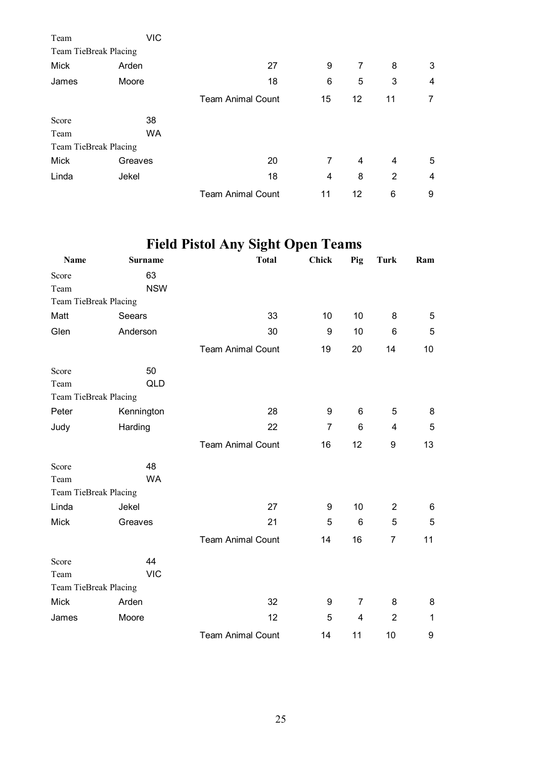| Team                  | <b>VIC</b> |                          |    |    |    |   |
|-----------------------|------------|--------------------------|----|----|----|---|
| Team TieBreak Placing |            |                          |    |    |    |   |
| Mick                  | Arden      | 27                       | 9  | 7  | 8  | 3 |
| James                 | Moore      | 18                       | 6  | 5  | 3  | 4 |
|                       |            | <b>Team Animal Count</b> | 15 | 12 | 11 | 7 |
| Score                 | 38         |                          |    |    |    |   |
| Team                  | <b>WA</b>  |                          |    |    |    |   |
| Team TieBreak Placing |            |                          |    |    |    |   |
| Mick                  | Greaves    | 20                       | 7  | 4  | 4  | 5 |
| Linda                 | Jekel      | 18                       | 4  | 8  | 2  | 4 |
|                       |            | <b>Team Animal Count</b> | 11 | 12 | 6  | 9 |

# **Field Pistol Any Sight Open Teams**

| Name                  | <b>Surname</b> | <b>Total</b>             | Chick | Pig | <b>Turk</b>    | Ram |
|-----------------------|----------------|--------------------------|-------|-----|----------------|-----|
| Score                 | 63             |                          |       |     |                |     |
| Team                  | <b>NSW</b>     |                          |       |     |                |     |
| Team TieBreak Placing |                |                          |       |     |                |     |
| Matt                  | Seears         | 33                       | 10    | 10  | 8              | 5   |
| Glen                  | Anderson       | 30                       | 9     | 10  | 6              | 5   |
|                       |                | <b>Team Animal Count</b> | 19    | 20  | 14             | 10  |
| Score                 | 50             |                          |       |     |                |     |
| Team                  | QLD            |                          |       |     |                |     |
| Team TieBreak Placing |                |                          |       |     |                |     |
| Peter                 | Kennington     | 28                       | 9     | 6   | 5              | 8   |
| Judy                  | Harding        | 22                       | 7     | 6   | 4              | 5   |
|                       |                | <b>Team Animal Count</b> | 16    | 12  | 9              | 13  |
| Score                 | 48             |                          |       |     |                |     |
| Team                  | <b>WA</b>      |                          |       |     |                |     |
| Team TieBreak Placing |                |                          |       |     |                |     |
| Linda                 | Jekel          | 27                       | 9     | 10  | $\overline{2}$ | 6   |
| <b>Mick</b>           | Greaves        | 21                       | 5     | 6   | 5              | 5   |
|                       |                | <b>Team Animal Count</b> | 14    | 16  | $\overline{7}$ | 11  |
| Score                 | 44             |                          |       |     |                |     |
| Team                  | <b>VIC</b>     |                          |       |     |                |     |
| Team TieBreak Placing |                |                          |       |     |                |     |
| <b>Mick</b>           | Arden          | 32                       | 9     | 7   | 8              | 8   |
| James                 | Moore          | 12                       | 5     | 4   | $\overline{c}$ | 1   |
|                       |                | <b>Team Animal Count</b> | 14    | 11  | 10             | 9   |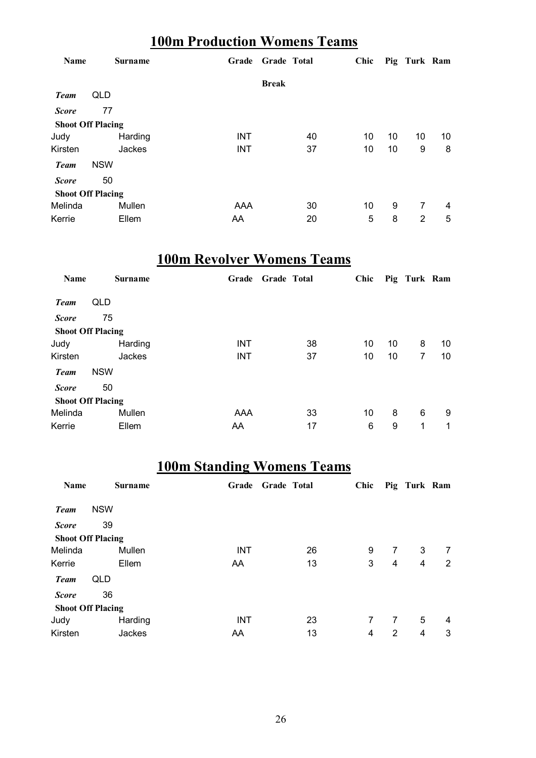### **100m Production Womens Teams**

| Name                     |            | <b>Surname</b> | Grade      | <b>Grade Total</b> |    | Chic |    | Pig Turk Ram |    |
|--------------------------|------------|----------------|------------|--------------------|----|------|----|--------------|----|
|                          |            |                |            | <b>Break</b>       |    |      |    |              |    |
| <b>Team</b>              | QLD        |                |            |                    |    |      |    |              |    |
| <b>Score</b>             | 77         |                |            |                    |    |      |    |              |    |
| <b>Shoot Off Placing</b> |            |                |            |                    |    |      |    |              |    |
| Judy                     |            | Harding        | <b>INT</b> |                    | 40 | 10   | 10 | 10           | 10 |
| Kirsten                  |            | Jackes         | <b>INT</b> |                    | 37 | 10   | 10 | 9            | 8  |
| <b>Team</b>              | <b>NSW</b> |                |            |                    |    |      |    |              |    |
| <b>Score</b>             | 50         |                |            |                    |    |      |    |              |    |
| <b>Shoot Off Placing</b> |            |                |            |                    |    |      |    |              |    |
| Melinda                  |            | Mullen         | AAA        |                    | 30 | 10   | 9  | 7            | 4  |
| Kerrie                   |            | Ellem          | AA         |                    | 20 | 5    | 8  | 2            | 5  |

### **100m Revolver Womens Teams**

| Name                     | <b>Surname</b> | Grade      | <b>Grade Total</b> | Chic |    | Pig Turk Ram   |    |
|--------------------------|----------------|------------|--------------------|------|----|----------------|----|
| <b>Team</b>              | QLD            |            |                    |      |    |                |    |
| <b>Score</b>             | 75             |            |                    |      |    |                |    |
| <b>Shoot Off Placing</b> |                |            |                    |      |    |                |    |
| Judy                     | Harding        | <b>INT</b> | 38                 | 10   | 10 | 8              | 10 |
| Kirsten                  | Jackes         | <b>INT</b> | 37                 | 10   | 10 | $\overline{7}$ | 10 |
| <b>Team</b>              | <b>NSW</b>     |            |                    |      |    |                |    |
| <b>Score</b>             | 50             |            |                    |      |    |                |    |
| <b>Shoot Off Placing</b> |                |            |                    |      |    |                |    |
| Melinda                  | Mullen         | AAA        | 33                 | 10   | 8  | 6              | 9  |
| Kerrie                   | Ellem          | AA         | 17                 | 6    | 9  | 1              | 1  |

### **100m Standing Womens Teams**

| Name                     |            | <b>Surname</b> | Grade      | <b>Grade Total</b> |    | Chic |   | Pig Turk Ram |   |
|--------------------------|------------|----------------|------------|--------------------|----|------|---|--------------|---|
| <b>Team</b>              | <b>NSW</b> |                |            |                    |    |      |   |              |   |
| <b>Score</b>             | 39         |                |            |                    |    |      |   |              |   |
| <b>Shoot Off Placing</b> |            |                |            |                    |    |      |   |              |   |
| Melinda                  |            | Mullen         | <b>INT</b> |                    | 26 | 9    | 7 | 3            | 7 |
| Kerrie                   |            | Ellem          | AA         |                    | 13 | 3    | 4 | 4            | 2 |
| <b>Team</b>              | QLD        |                |            |                    |    |      |   |              |   |
| <b>Score</b>             | 36         |                |            |                    |    |      |   |              |   |
| <b>Shoot Off Placing</b> |            |                |            |                    |    |      |   |              |   |
| Judy                     |            | Harding        | <b>INT</b> |                    | 23 | 7    | 7 | 5            | 4 |
| Kirsten                  |            | Jackes         | AA         |                    | 13 | 4    | 2 | 4            | 3 |